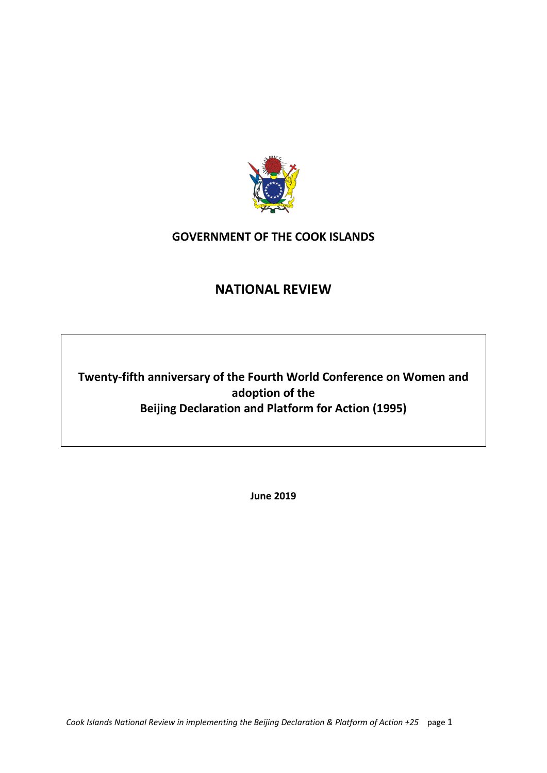

# **GOVERNMENT OF THE COOK ISLANDS**

# **NATIONAL REVIEW**

**Twenty-fifth anniversary of the Fourth World Conference on Women and adoption of the Beijing Declaration and Platform for Action (1995)**

**June 2019**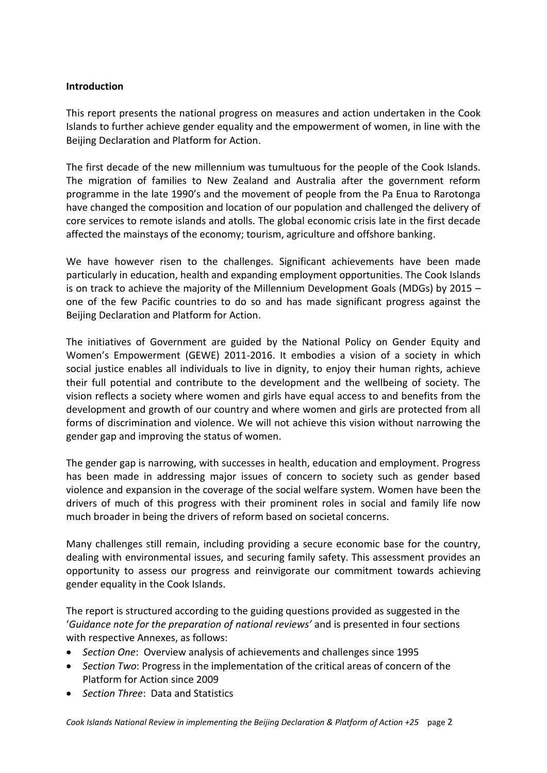#### **Introduction**

This report presents the national progress on measures and action undertaken in the Cook Islands to further achieve gender equality and the empowerment of women, in line with the Beijing Declaration and Platform for Action.

The first decade of the new millennium was tumultuous for the people of the Cook Islands. The migration of families to New Zealand and Australia after the government reform programme in the late 1990's and the movement of people from the Pa Enua to Rarotonga have changed the composition and location of our population and challenged the delivery of core services to remote islands and atolls. The global economic crisis late in the first decade affected the mainstays of the economy; tourism, agriculture and offshore banking.

We have however risen to the challenges. Significant achievements have been made particularly in education, health and expanding employment opportunities. The Cook Islands is on track to achieve the majority of the Millennium Development Goals (MDGs) by 2015 – one of the few Pacific countries to do so and has made significant progress against the Beijing Declaration and Platform for Action.

The initiatives of Government are guided by the National Policy on Gender Equity and Women's Empowerment (GEWE) 2011-2016. It embodies a vision of a society in which social justice enables all individuals to live in dignity, to enjoy their human rights, achieve their full potential and contribute to the development and the wellbeing of society. The vision reflects a society where women and girls have equal access to and benefits from the development and growth of our country and where women and girls are protected from all forms of discrimination and violence. We will not achieve this vision without narrowing the gender gap and improving the status of women.

The gender gap is narrowing, with successes in health, education and employment. Progress has been made in addressing major issues of concern to society such as gender based violence and expansion in the coverage of the social welfare system. Women have been the drivers of much of this progress with their prominent roles in social and family life now much broader in being the drivers of reform based on societal concerns.

Many challenges still remain, including providing a secure economic base for the country, dealing with environmental issues, and securing family safety. This assessment provides an opportunity to assess our progress and reinvigorate our commitment towards achieving gender equality in the Cook Islands.

The report is structured according to the guiding questions provided as suggested in the '*Guidance note for the preparation of national reviews'* and is presented in four sections with respective Annexes, as follows:

- *Section One*: Overview analysis of achievements and challenges since 1995
- *Section Two*: Progress in the implementation of the critical areas of concern of the Platform for Action since 2009
- *Section Three*: Data and Statistics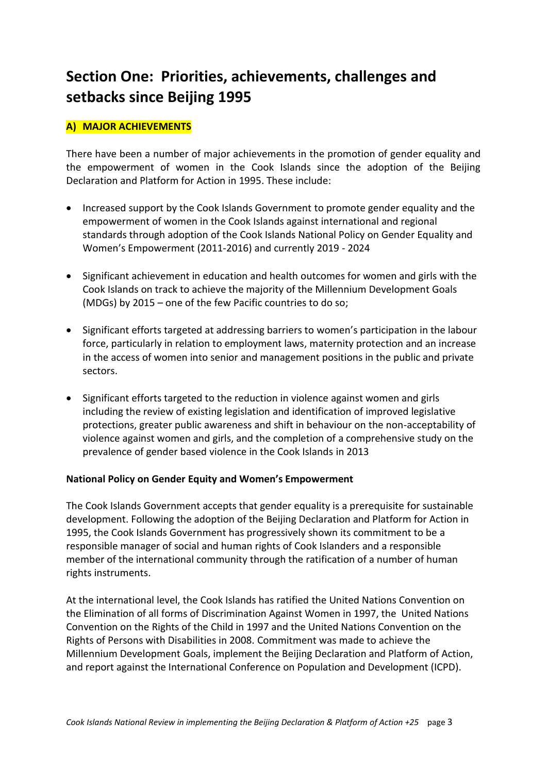# **Section One: Priorities, achievements, challenges and setbacks since Beijing 1995**

# **A) MAJOR ACHIEVEMENTS**

There have been a number of major achievements in the promotion of gender equality and the empowerment of women in the Cook Islands since the adoption of the Beijing Declaration and Platform for Action in 1995. These include:

- Increased support by the Cook Islands Government to promote gender equality and the empowerment of women in the Cook Islands against international and regional standards through adoption of the Cook Islands National Policy on Gender Equality and Women's Empowerment (2011-2016) and currently 2019 - 2024
- Significant achievement in education and health outcomes for women and girls with the Cook Islands on track to achieve the majority of the Millennium Development Goals (MDGs) by 2015 – one of the few Pacific countries to do so;
- Significant efforts targeted at addressing barriers to women's participation in the labour force, particularly in relation to employment laws, maternity protection and an increase in the access of women into senior and management positions in the public and private sectors.
- Significant efforts targeted to the reduction in violence against women and girls including the review of existing legislation and identification of improved legislative protections, greater public awareness and shift in behaviour on the non-acceptability of violence against women and girls, and the completion of a comprehensive study on the prevalence of gender based violence in the Cook Islands in 2013

#### **National Policy on Gender Equity and Women's Empowerment**

The Cook Islands Government accepts that gender equality is a prerequisite for sustainable development. Following the adoption of the Beijing Declaration and Platform for Action in 1995, the Cook Islands Government has progressively shown its commitment to be a responsible manager of social and human rights of Cook Islanders and a responsible member of the international community through the ratification of a number of human rights instruments.

At the international level, the Cook Islands has ratified the United Nations Convention on the Elimination of all forms of Discrimination Against Women in 1997, the United Nations Convention on the Rights of the Child in 1997 and the United Nations Convention on the Rights of Persons with Disabilities in 2008. Commitment was made to achieve the Millennium Development Goals, implement the Beijing Declaration and Platform of Action, and report against the International Conference on Population and Development (ICPD).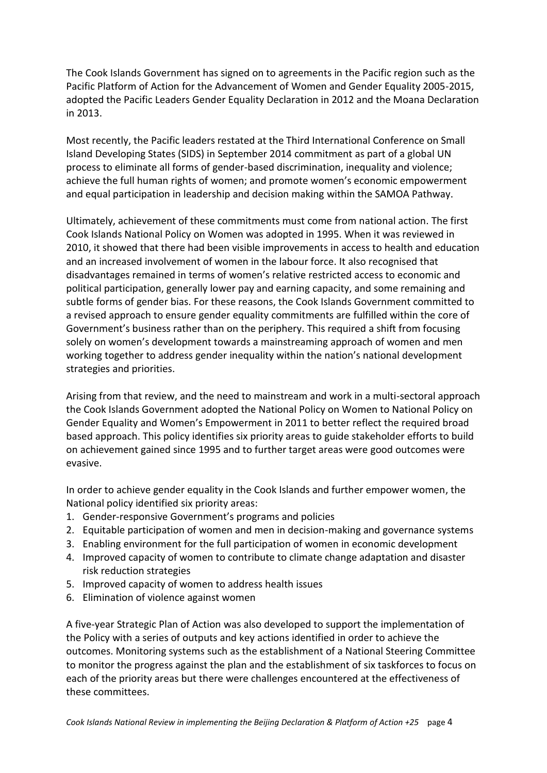The Cook Islands Government has signed on to agreements in the Pacific region such as the Pacific Platform of Action for the Advancement of Women and Gender Equality 2005-2015, adopted the Pacific Leaders Gender Equality Declaration in 2012 and the Moana Declaration in 2013.

Most recently, the Pacific leaders restated at the Third International Conference on Small Island Developing States (SIDS) in September 2014 commitment as part of a global UN process to eliminate all forms of gender-based discrimination, inequality and violence; achieve the full human rights of women; and promote women's economic empowerment and equal participation in leadership and decision making within the SAMOA Pathway.

Ultimately, achievement of these commitments must come from national action. The first Cook Islands National Policy on Women was adopted in 1995. When it was reviewed in 2010, it showed that there had been visible improvements in access to health and education and an increased involvement of women in the labour force. It also recognised that disadvantages remained in terms of women's relative restricted access to economic and political participation, generally lower pay and earning capacity, and some remaining and subtle forms of gender bias. For these reasons, the Cook Islands Government committed to a revised approach to ensure gender equality commitments are fulfilled within the core of Government's business rather than on the periphery. This required a shift from focusing solely on women's development towards a mainstreaming approach of women and men working together to address gender inequality within the nation's national development strategies and priorities.

Arising from that review, and the need to mainstream and work in a multi-sectoral approach the Cook Islands Government adopted the National Policy on Women to National Policy on Gender Equality and Women's Empowerment in 2011 to better reflect the required broad based approach. This policy identifies six priority areas to guide stakeholder efforts to build on achievement gained since 1995 and to further target areas were good outcomes were evasive.

In order to achieve gender equality in the Cook Islands and further empower women, the National policy identified six priority areas:

- 1. Gender-responsive Government's programs and policies
- 2. Equitable participation of women and men in decision-making and governance systems
- 3. Enabling environment for the full participation of women in economic development
- 4. Improved capacity of women to contribute to climate change adaptation and disaster risk reduction strategies
- 5. Improved capacity of women to address health issues
- 6. Elimination of violence against women

A five-year Strategic Plan of Action was also developed to support the implementation of the Policy with a series of outputs and key actions identified in order to achieve the outcomes. Monitoring systems such as the establishment of a National Steering Committee to monitor the progress against the plan and the establishment of six taskforces to focus on each of the priority areas but there were challenges encountered at the effectiveness of these committees.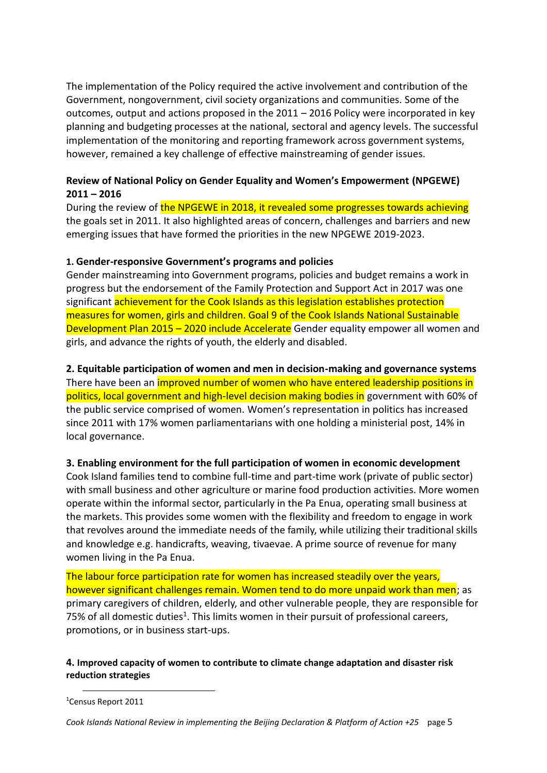The implementation of the Policy required the active involvement and contribution of the Government, nongovernment, civil society organizations and communities. Some of the outcomes, output and actions proposed in the 2011 – 2016 Policy were incorporated in key planning and budgeting processes at the national, sectoral and agency levels. The successful implementation of the monitoring and reporting framework across government systems, however, remained a key challenge of effective mainstreaming of gender issues.

#### **Review of National Policy on Gender Equality and Women's Empowerment (NPGEWE) 2011 – 2016**

During the review of the NPGEWE in 2018, it revealed some progresses towards achieving the goals set in 2011. It also highlighted areas of concern, challenges and barriers and new emerging issues that have formed the priorities in the new NPGEWE 2019-2023.

#### **1. Gender-responsive Government's programs and policies**

Gender mainstreaming into Government programs, policies and budget remains a work in progress but the endorsement of the Family Protection and Support Act in 2017 was one significant achievement for the Cook Islands as this legislation establishes protection measures for women, girls and children. Goal 9 of the Cook Islands National Sustainable Development Plan 2015 – 2020 include Accelerate Gender equality empower all women and girls, and advance the rights of youth, the elderly and disabled.

# **2. Equitable participation of women and men in decision-making and governance systems**

There have been an improved number of women who have entered leadership positions in politics, local government and high-level decision making bodies in government with 60% of the public service comprised of women. Women's representation in politics has increased since 2011 with 17% women parliamentarians with one holding a ministerial post, 14% in local governance.

# **3. Enabling environment for the full participation of women in economic development**

Cook Island families tend to combine full-time and part-time work (private of public sector) with small business and other agriculture or marine food production activities. More women operate within the informal sector, particularly in the Pa Enua, operating small business at the markets. This provides some women with the flexibility and freedom to engage in work that revolves around the immediate needs of the family, while utilizing their traditional skills and knowledge e.g. handicrafts, weaving, tivaevae. A prime source of revenue for many women living in the Pa Enua.

The labour force participation rate for women has increased steadily over the years, however significant challenges remain. Women tend to do more unpaid work than men; as primary caregivers of children, elderly, and other vulnerable people, they are responsible for 75% of all domestic duties<sup>1</sup>. This limits women in their pursuit of professional careers, promotions, or in business start-ups.

#### **4. Improved capacity of women to contribute to climate change adaptation and disaster risk reduction strategies**

 $\overline{a}$ 

<sup>1</sup>Census Report 2011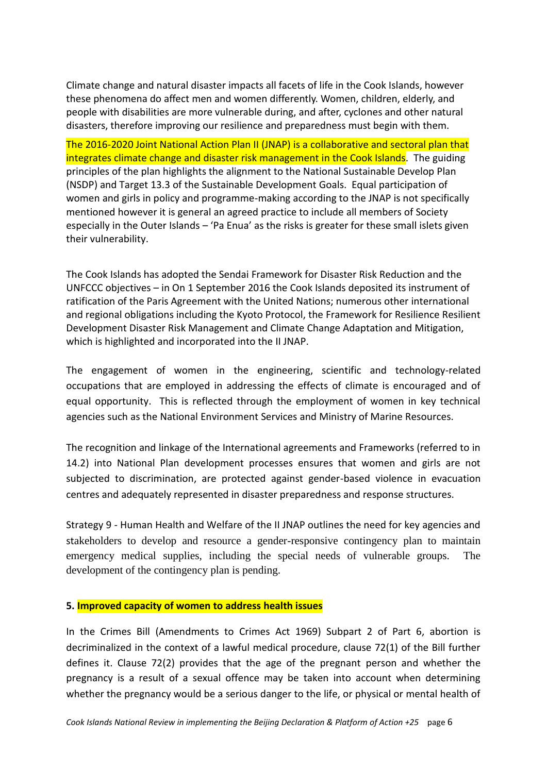Climate change and natural disaster impacts all facets of life in the Cook Islands, however these phenomena do affect men and women differently. Women, children, elderly, and people with disabilities are more vulnerable during, and after, cyclones and other natural disasters, therefore improving our resilience and preparedness must begin with them.

The 2016-2020 Joint National Action Plan II (JNAP) is a collaborative and sectoral plan that integrates climate change and disaster risk management in the Cook Islands. The guiding principles of the plan highlights the alignment to the National Sustainable Develop Plan (NSDP) and Target 13.3 of the Sustainable Development Goals. Equal participation of women and girls in policy and programme-making according to the JNAP is not specifically mentioned however it is general an agreed practice to include all members of Society especially in the Outer Islands – 'Pa Enua' as the risks is greater for these small islets given their vulnerability.

The Cook Islands has adopted the Sendai Framework for Disaster Risk Reduction and the UNFCCC objectives – in On 1 September 2016 the Cook Islands deposited its instrument of ratification of the Paris Agreement with the United Nations; numerous other international and regional obligations including the Kyoto Protocol, the Framework for Resilience Resilient Development Disaster Risk Management and Climate Change Adaptation and Mitigation, which is highlighted and incorporated into the II JNAP.

The engagement of women in the engineering, scientific and technology-related occupations that are employed in addressing the effects of climate is encouraged and of equal opportunity. This is reflected through the employment of women in key technical agencies such as the National Environment Services and Ministry of Marine Resources.

The recognition and linkage of the International agreements and Frameworks (referred to in 14.2) into National Plan development processes ensures that women and girls are not subjected to discrimination, are protected against gender-based violence in evacuation centres and adequately represented in disaster preparedness and response structures.

Strategy 9 - Human Health and Welfare of the II JNAP outlines the need for key agencies and stakeholders to develop and resource a gender-responsive contingency plan to maintain emergency medical supplies, including the special needs of vulnerable groups. The development of the contingency plan is pending.

#### **5. Improved capacity of women to address health issues**

In the Crimes Bill (Amendments to Crimes Act 1969) Subpart 2 of Part 6, abortion is decriminalized in the context of a lawful medical procedure, clause 72(1) of the Bill further defines it. Clause 72(2) provides that the age of the pregnant person and whether the pregnancy is a result of a sexual offence may be taken into account when determining whether the pregnancy would be a serious danger to the life, or physical or mental health of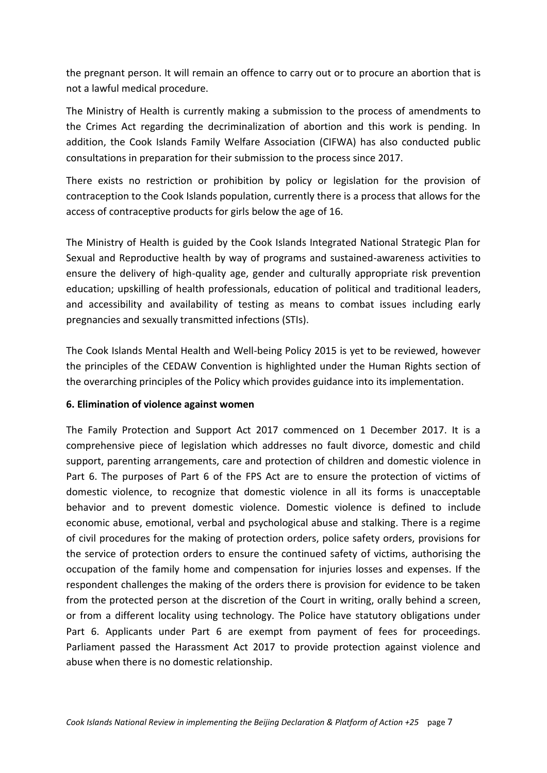the pregnant person. It will remain an offence to carry out or to procure an abortion that is not a lawful medical procedure.

The Ministry of Health is currently making a submission to the process of amendments to the Crimes Act regarding the decriminalization of abortion and this work is pending. In addition, the Cook Islands Family Welfare Association (CIFWA) has also conducted public consultations in preparation for their submission to the process since 2017.

There exists no restriction or prohibition by policy or legislation for the provision of contraception to the Cook Islands population, currently there is a process that allows for the access of contraceptive products for girls below the age of 16.

The Ministry of Health is guided by the Cook Islands Integrated National Strategic Plan for Sexual and Reproductive health by way of programs and sustained-awareness activities to ensure the delivery of high-quality age, gender and culturally appropriate risk prevention education; upskilling of health professionals, education of political and traditional leaders, and accessibility and availability of testing as means to combat issues including early pregnancies and sexually transmitted infections (STIs).

The Cook Islands Mental Health and Well-being Policy 2015 is yet to be reviewed, however the principles of the CEDAW Convention is highlighted under the Human Rights section of the overarching principles of the Policy which provides guidance into its implementation.

# **6. Elimination of violence against women**

The Family Protection and Support Act 2017 commenced on 1 December 2017. It is a comprehensive piece of legislation which addresses no fault divorce, domestic and child support, parenting arrangements, care and protection of children and domestic violence in Part 6. The purposes of Part 6 of the FPS Act are to ensure the protection of victims of domestic violence, to recognize that domestic violence in all its forms is unacceptable behavior and to prevent domestic violence. Domestic violence is defined to include economic abuse, emotional, verbal and psychological abuse and stalking. There is a regime of civil procedures for the making of protection orders, police safety orders, provisions for the service of protection orders to ensure the continued safety of victims, authorising the occupation of the family home and compensation for injuries losses and expenses. If the respondent challenges the making of the orders there is provision for evidence to be taken from the protected person at the discretion of the Court in writing, orally behind a screen, or from a different locality using technology. The Police have statutory obligations under Part 6. Applicants under Part 6 are exempt from payment of fees for proceedings. Parliament passed the Harassment Act 2017 to provide protection against violence and abuse when there is no domestic relationship.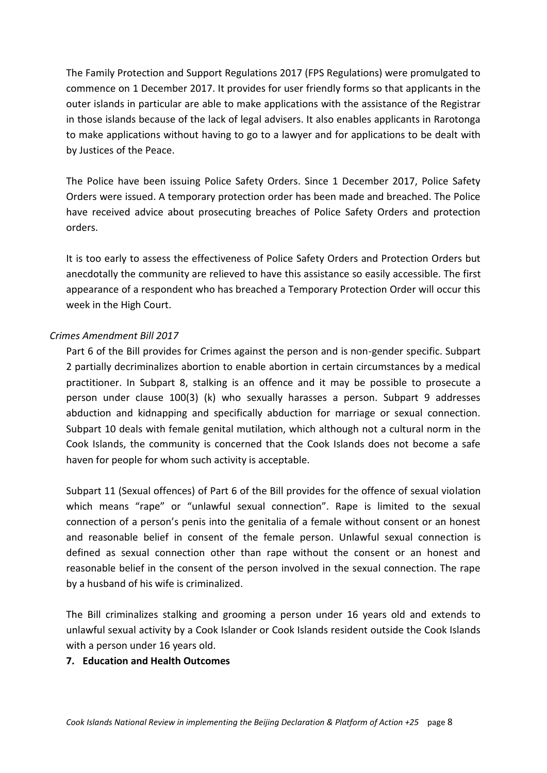The Family Protection and Support Regulations 2017 (FPS Regulations) were promulgated to commence on 1 December 2017. It provides for user friendly forms so that applicants in the outer islands in particular are able to make applications with the assistance of the Registrar in those islands because of the lack of legal advisers. It also enables applicants in Rarotonga to make applications without having to go to a lawyer and for applications to be dealt with by Justices of the Peace.

The Police have been issuing Police Safety Orders. Since 1 December 2017, Police Safety Orders were issued. A temporary protection order has been made and breached. The Police have received advice about prosecuting breaches of Police Safety Orders and protection orders.

It is too early to assess the effectiveness of Police Safety Orders and Protection Orders but anecdotally the community are relieved to have this assistance so easily accessible. The first appearance of a respondent who has breached a Temporary Protection Order will occur this week in the High Court.

# *Crimes Amendment Bill 2017*

Part 6 of the Bill provides for Crimes against the person and is non-gender specific. Subpart 2 partially decriminalizes abortion to enable abortion in certain circumstances by a medical practitioner. In Subpart 8, stalking is an offence and it may be possible to prosecute a person under clause 100(3) (k) who sexually harasses a person. Subpart 9 addresses abduction and kidnapping and specifically abduction for marriage or sexual connection. Subpart 10 deals with female genital mutilation, which although not a cultural norm in the Cook Islands, the community is concerned that the Cook Islands does not become a safe haven for people for whom such activity is acceptable.

Subpart 11 (Sexual offences) of Part 6 of the Bill provides for the offence of sexual violation which means "rape" or "unlawful sexual connection". Rape is limited to the sexual connection of a person's penis into the genitalia of a female without consent or an honest and reasonable belief in consent of the female person. Unlawful sexual connection is defined as sexual connection other than rape without the consent or an honest and reasonable belief in the consent of the person involved in the sexual connection. The rape by a husband of his wife is criminalized.

The Bill criminalizes stalking and grooming a person under 16 years old and extends to unlawful sexual activity by a Cook Islander or Cook Islands resident outside the Cook Islands with a person under 16 years old.

#### **7. Education and Health Outcomes**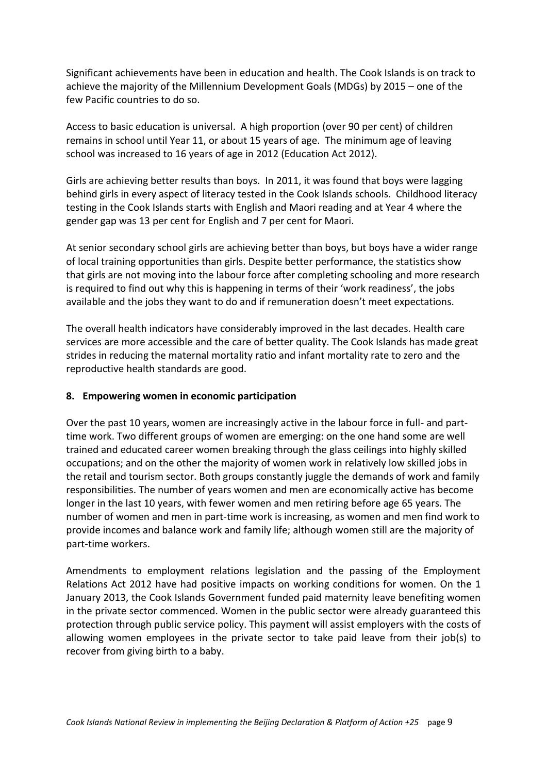Significant achievements have been in education and health. The Cook Islands is on track to achieve the majority of the Millennium Development Goals (MDGs) by 2015 – one of the few Pacific countries to do so.

Access to basic education is universal. A high proportion (over 90 per cent) of children remains in school until Year 11, or about 15 years of age. The minimum age of leaving school was increased to 16 years of age in 2012 (Education Act 2012).

Girls are achieving better results than boys. In 2011, it was found that boys were lagging behind girls in every aspect of literacy tested in the Cook Islands schools. Childhood literacy testing in the Cook Islands starts with English and Maori reading and at Year 4 where the gender gap was 13 per cent for English and 7 per cent for Maori.

At senior secondary school girls are achieving better than boys, but boys have a wider range of local training opportunities than girls. Despite better performance, the statistics show that girls are not moving into the labour force after completing schooling and more research is required to find out why this is happening in terms of their 'work readiness', the jobs available and the jobs they want to do and if remuneration doesn't meet expectations.

The overall health indicators have considerably improved in the last decades. Health care services are more accessible and the care of better quality. The Cook Islands has made great strides in reducing the maternal mortality ratio and infant mortality rate to zero and the reproductive health standards are good.

# **8. Empowering women in economic participation**

Over the past 10 years, women are increasingly active in the labour force in full- and parttime work. Two different groups of women are emerging: on the one hand some are well trained and educated career women breaking through the glass ceilings into highly skilled occupations; and on the other the majority of women work in relatively low skilled jobs in the retail and tourism sector. Both groups constantly juggle the demands of work and family responsibilities. The number of years women and men are economically active has become longer in the last 10 years, with fewer women and men retiring before age 65 years. The number of women and men in part-time work is increasing, as women and men find work to provide incomes and balance work and family life; although women still are the majority of part-time workers.

Amendments to employment relations legislation and the passing of the Employment Relations Act 2012 have had positive impacts on working conditions for women. On the 1 January 2013, the Cook Islands Government funded paid maternity leave benefiting women in the private sector commenced. Women in the public sector were already guaranteed this protection through public service policy. This payment will assist employers with the costs of allowing women employees in the private sector to take paid leave from their job(s) to recover from giving birth to a baby.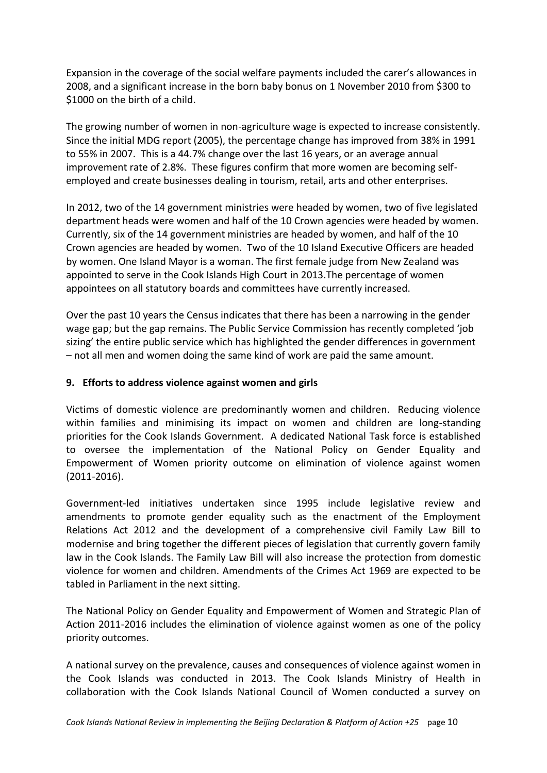Expansion in the coverage of the social welfare payments included the carer's allowances in 2008, and a significant increase in the born baby bonus on 1 November 2010 from \$300 to \$1000 on the birth of a child.

The growing number of women in non-agriculture wage is expected to increase consistently. Since the initial MDG report (2005), the percentage change has improved from 38% in 1991 to 55% in 2007. This is a 44.7% change over the last 16 years, or an average annual improvement rate of 2.8%. These figures confirm that more women are becoming selfemployed and create businesses dealing in tourism, retail, arts and other enterprises.

In 2012, two of the 14 government ministries were headed by women, two of five legislated department heads were women and half of the 10 Crown agencies were headed by women. Currently, six of the 14 government ministries are headed by women, and half of the 10 Crown agencies are headed by women. Two of the 10 Island Executive Officers are headed by women. One Island Mayor is a woman. The first female judge from New Zealand was appointed to serve in the Cook Islands High Court in 2013.The percentage of women appointees on all statutory boards and committees have currently increased.

Over the past 10 years the Census indicates that there has been a narrowing in the gender wage gap; but the gap remains. The Public Service Commission has recently completed 'job sizing' the entire public service which has highlighted the gender differences in government – not all men and women doing the same kind of work are paid the same amount.

#### **9. Efforts to address violence against women and girls**

Victims of domestic violence are predominantly women and children. Reducing violence within families and minimising its impact on women and children are long-standing priorities for the Cook Islands Government. A dedicated National Task force is established to oversee the implementation of the National Policy on Gender Equality and Empowerment of Women priority outcome on elimination of violence against women (2011-2016).

Government-led initiatives undertaken since 1995 include legislative review and amendments to promote gender equality such as the enactment of the Employment Relations Act 2012 and the development of a comprehensive civil Family Law Bill to modernise and bring together the different pieces of legislation that currently govern family law in the Cook Islands. The Family Law Bill will also increase the protection from domestic violence for women and children. Amendments of the Crimes Act 1969 are expected to be tabled in Parliament in the next sitting.

The National Policy on Gender Equality and Empowerment of Women and Strategic Plan of Action 2011-2016 includes the elimination of violence against women as one of the policy priority outcomes.

A national survey on the prevalence, causes and consequences of violence against women in the Cook Islands was conducted in 2013. The Cook Islands Ministry of Health in collaboration with the Cook Islands National Council of Women conducted a survey on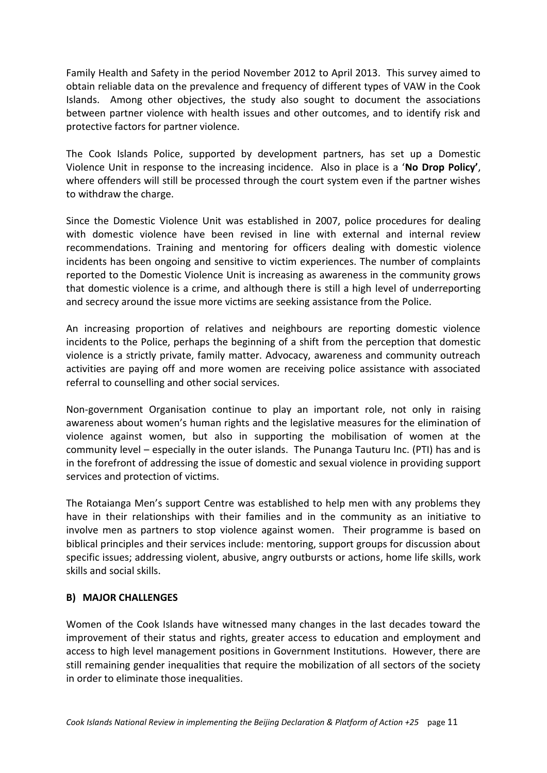Family Health and Safety in the period November 2012 to April 2013. This survey aimed to obtain reliable data on the prevalence and frequency of different types of VAW in the Cook Islands. Among other objectives, the study also sought to document the associations between partner violence with health issues and other outcomes, and to identify risk and protective factors for partner violence.

The Cook Islands Police, supported by development partners, has set up a Domestic Violence Unit in response to the increasing incidence. Also in place is a '**No Drop Policy'**, where offenders will still be processed through the court system even if the partner wishes to withdraw the charge.

Since the Domestic Violence Unit was established in 2007, police procedures for dealing with domestic violence have been revised in line with external and internal review recommendations. Training and mentoring for officers dealing with domestic violence incidents has been ongoing and sensitive to victim experiences. The number of complaints reported to the Domestic Violence Unit is increasing as awareness in the community grows that domestic violence is a crime, and although there is still a high level of underreporting and secrecy around the issue more victims are seeking assistance from the Police.

An increasing proportion of relatives and neighbours are reporting domestic violence incidents to the Police, perhaps the beginning of a shift from the perception that domestic violence is a strictly private, family matter. Advocacy, awareness and community outreach activities are paying off and more women are receiving police assistance with associated referral to counselling and other social services.

Non-government Organisation continue to play an important role, not only in raising awareness about women's human rights and the legislative measures for the elimination of violence against women, but also in supporting the mobilisation of women at the community level – especially in the outer islands. The Punanga Tauturu Inc. (PTI) has and is in the forefront of addressing the issue of domestic and sexual violence in providing support services and protection of victims.

The Rotaianga Men's support Centre was established to help men with any problems they have in their relationships with their families and in the community as an initiative to involve men as partners to stop violence against women. Their programme is based on biblical principles and their services include: mentoring, support groups for discussion about specific issues; addressing violent, abusive, angry outbursts or actions, home life skills, work skills and social skills.

# **B) MAJOR CHALLENGES**

Women of the Cook Islands have witnessed many changes in the last decades toward the improvement of their status and rights, greater access to education and employment and access to high level management positions in Government Institutions. However, there are still remaining gender inequalities that require the mobilization of all sectors of the society in order to eliminate those inequalities.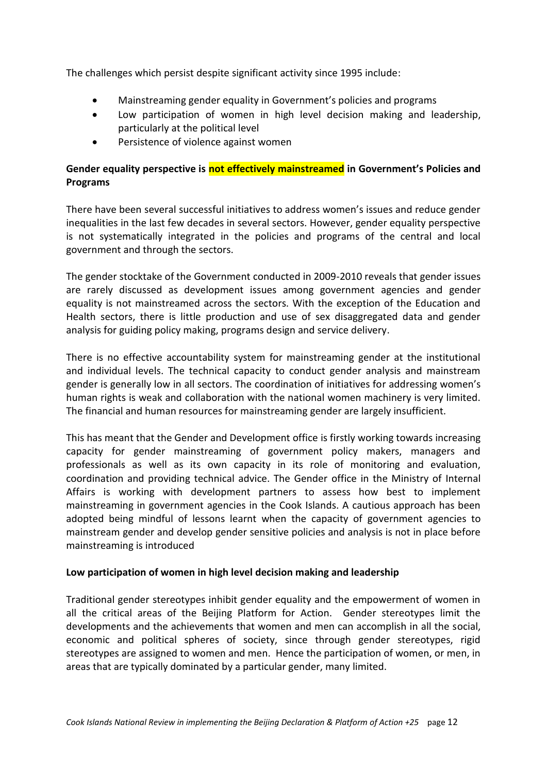The challenges which persist despite significant activity since 1995 include:

- Mainstreaming gender equality in Government's policies and programs
- Low participation of women in high level decision making and leadership, particularly at the political level
- Persistence of violence against women

# **Gender equality perspective is not effectively mainstreamed in Government's Policies and Programs**

There have been several successful initiatives to address women's issues and reduce gender inequalities in the last few decades in several sectors. However, gender equality perspective is not systematically integrated in the policies and programs of the central and local government and through the sectors.

The gender stocktake of the Government conducted in 2009-2010 reveals that gender issues are rarely discussed as development issues among government agencies and gender equality is not mainstreamed across the sectors. With the exception of the Education and Health sectors, there is little production and use of sex disaggregated data and gender analysis for guiding policy making, programs design and service delivery.

There is no effective accountability system for mainstreaming gender at the institutional and individual levels. The technical capacity to conduct gender analysis and mainstream gender is generally low in all sectors. The coordination of initiatives for addressing women's human rights is weak and collaboration with the national women machinery is very limited. The financial and human resources for mainstreaming gender are largely insufficient.

This has meant that the Gender and Development office is firstly working towards increasing capacity for gender mainstreaming of government policy makers, managers and professionals as well as its own capacity in its role of monitoring and evaluation, coordination and providing technical advice. The Gender office in the Ministry of Internal Affairs is working with development partners to assess how best to implement mainstreaming in government agencies in the Cook Islands. A cautious approach has been adopted being mindful of lessons learnt when the capacity of government agencies to mainstream gender and develop gender sensitive policies and analysis is not in place before mainstreaming is introduced

#### **Low participation of women in high level decision making and leadership**

Traditional gender stereotypes inhibit gender equality and the empowerment of women in all the critical areas of the Beijing Platform for Action. Gender stereotypes limit the developments and the achievements that women and men can accomplish in all the social, economic and political spheres of society, since through gender stereotypes, rigid stereotypes are assigned to women and men. Hence the participation of women, or men, in areas that are typically dominated by a particular gender, many limited.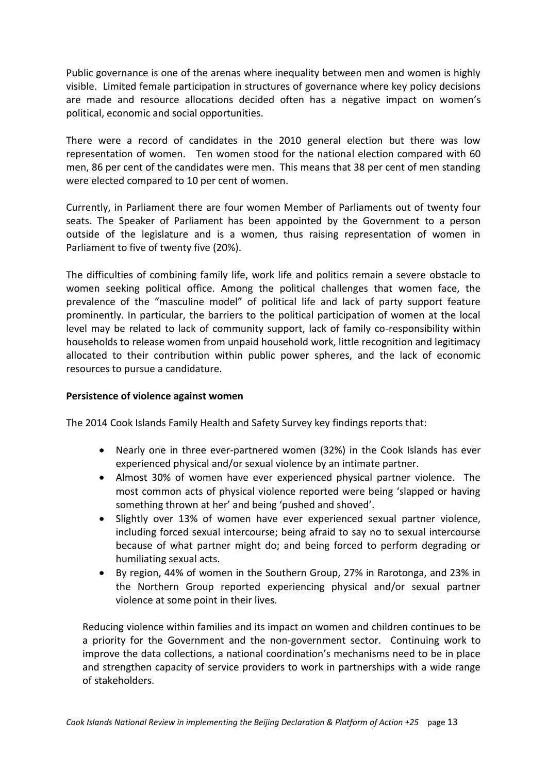Public governance is one of the arenas where inequality between men and women is highly visible. Limited female participation in structures of governance where key policy decisions are made and resource allocations decided often has a negative impact on women's political, economic and social opportunities.

There were a record of candidates in the 2010 general election but there was low representation of women. Ten women stood for the national election compared with 60 men, 86 per cent of the candidates were men. This means that 38 per cent of men standing were elected compared to 10 per cent of women.

Currently, in Parliament there are four women Member of Parliaments out of twenty four seats. The Speaker of Parliament has been appointed by the Government to a person outside of the legislature and is a women, thus raising representation of women in Parliament to five of twenty five (20%).

The difficulties of combining family life, work life and politics remain a severe obstacle to women seeking political office. Among the political challenges that women face, the prevalence of the "masculine model" of political life and lack of party support feature prominently. In particular, the barriers to the political participation of women at the local level may be related to lack of community support, lack of family co-responsibility within households to release women from unpaid household work, little recognition and legitimacy allocated to their contribution within public power spheres, and the lack of economic resources to pursue a candidature.

#### **Persistence of violence against women**

The 2014 Cook Islands Family Health and Safety Survey key findings reports that:

- Nearly one in three ever-partnered women (32%) in the Cook Islands has ever experienced physical and/or sexual violence by an intimate partner.
- Almost 30% of women have ever experienced physical partner violence. The most common acts of physical violence reported were being 'slapped or having something thrown at her' and being 'pushed and shoved'.
- Slightly over 13% of women have ever experienced sexual partner violence, including forced sexual intercourse; being afraid to say no to sexual intercourse because of what partner might do; and being forced to perform degrading or humiliating sexual acts.
- By region, 44% of women in the Southern Group, 27% in Rarotonga, and 23% in the Northern Group reported experiencing physical and/or sexual partner violence at some point in their lives.

Reducing violence within families and its impact on women and children continues to be a priority for the Government and the non-government sector. Continuing work to improve the data collections, a national coordination's mechanisms need to be in place and strengthen capacity of service providers to work in partnerships with a wide range of stakeholders.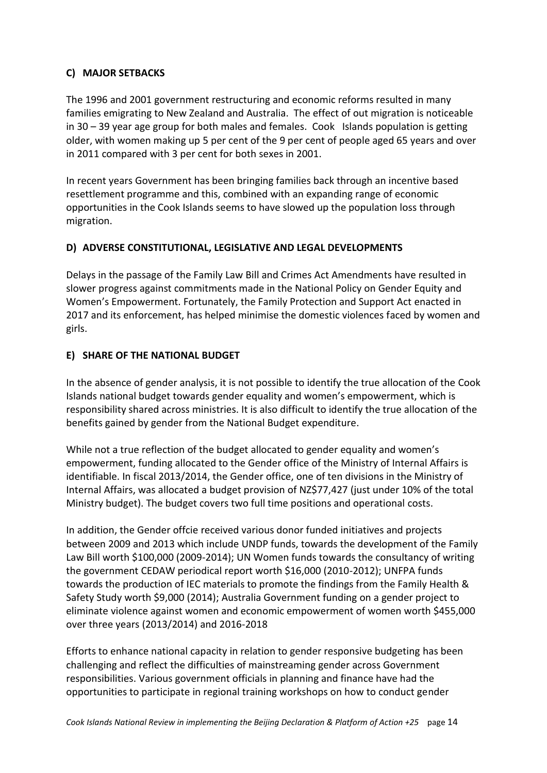# **C) MAJOR SETBACKS**

The 1996 and 2001 government restructuring and economic reforms resulted in many families emigrating to New Zealand and Australia. The effect of out migration is noticeable in 30 – 39 year age group for both males and females. Cook Islands population is getting older, with women making up 5 per cent of the 9 per cent of people aged 65 years and over in 2011 compared with 3 per cent for both sexes in 2001.

In recent years Government has been bringing families back through an incentive based resettlement programme and this, combined with an expanding range of economic opportunities in the Cook Islands seems to have slowed up the population loss through migration.

# **D) ADVERSE CONSTITUTIONAL, LEGISLATIVE AND LEGAL DEVELOPMENTS**

Delays in the passage of the Family Law Bill and Crimes Act Amendments have resulted in slower progress against commitments made in the National Policy on Gender Equity and Women's Empowerment. Fortunately, the Family Protection and Support Act enacted in 2017 and its enforcement, has helped minimise the domestic violences faced by women and girls.

#### **E) SHARE OF THE NATIONAL BUDGET**

In the absence of gender analysis, it is not possible to identify the true allocation of the Cook Islands national budget towards gender equality and women's empowerment, which is responsibility shared across ministries. It is also difficult to identify the true allocation of the benefits gained by gender from the National Budget expenditure.

While not a true reflection of the budget allocated to gender equality and women's empowerment, funding allocated to the Gender office of the Ministry of Internal Affairs is identifiable. In fiscal 2013/2014, the Gender office, one of ten divisions in the Ministry of Internal Affairs, was allocated a budget provision of NZ\$77,427 (just under 10% of the total Ministry budget). The budget covers two full time positions and operational costs.

In addition, the Gender offcie received various donor funded initiatives and projects between 2009 and 2013 which include UNDP funds, towards the development of the Family Law Bill worth \$100,000 (2009-2014); UN Women funds towards the consultancy of writing the government CEDAW periodical report worth \$16,000 (2010-2012); UNFPA funds towards the production of IEC materials to promote the findings from the Family Health & Safety Study worth \$9,000 (2014); Australia Government funding on a gender project to eliminate violence against women and economic empowerment of women worth \$455,000 over three years (2013/2014) and 2016-2018

Efforts to enhance national capacity in relation to gender responsive budgeting has been challenging and reflect the difficulties of mainstreaming gender across Government responsibilities. Various government officials in planning and finance have had the opportunities to participate in regional training workshops on how to conduct gender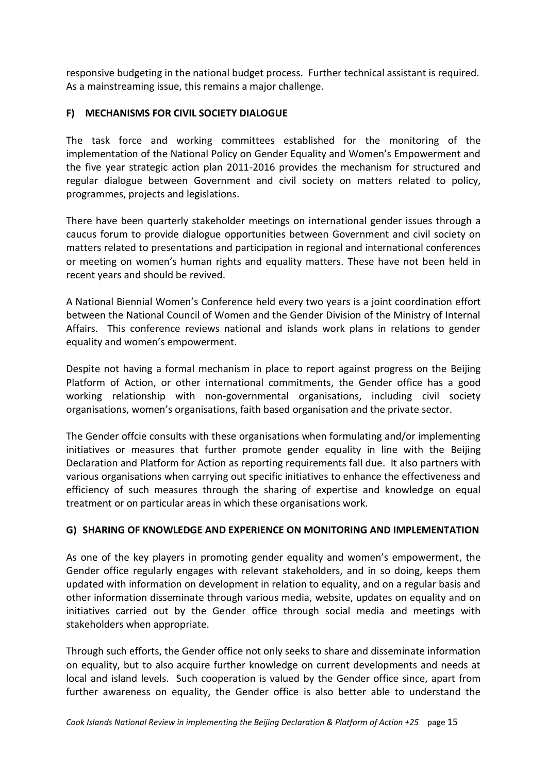responsive budgeting in the national budget process. Further technical assistant is required. As a mainstreaming issue, this remains a major challenge.

# **F) MECHANISMS FOR CIVIL SOCIETY DIALOGUE**

The task force and working committees established for the monitoring of the implementation of the National Policy on Gender Equality and Women's Empowerment and the five year strategic action plan 2011-2016 provides the mechanism for structured and regular dialogue between Government and civil society on matters related to policy, programmes, projects and legislations.

There have been quarterly stakeholder meetings on international gender issues through a caucus forum to provide dialogue opportunities between Government and civil society on matters related to presentations and participation in regional and international conferences or meeting on women's human rights and equality matters. These have not been held in recent years and should be revived.

A National Biennial Women's Conference held every two years is a joint coordination effort between the National Council of Women and the Gender Division of the Ministry of Internal Affairs. This conference reviews national and islands work plans in relations to gender equality and women's empowerment.

Despite not having a formal mechanism in place to report against progress on the Beijing Platform of Action, or other international commitments, the Gender office has a good working relationship with non-governmental organisations, including civil society organisations, women's organisations, faith based organisation and the private sector.

The Gender offcie consults with these organisations when formulating and/or implementing initiatives or measures that further promote gender equality in line with the Beijing Declaration and Platform for Action as reporting requirements fall due. It also partners with various organisations when carrying out specific initiatives to enhance the effectiveness and efficiency of such measures through the sharing of expertise and knowledge on equal treatment or on particular areas in which these organisations work.

# **G) SHARING OF KNOWLEDGE AND EXPERIENCE ON MONITORING AND IMPLEMENTATION**

As one of the key players in promoting gender equality and women's empowerment, the Gender office regularly engages with relevant stakeholders, and in so doing, keeps them updated with information on development in relation to equality, and on a regular basis and other information disseminate through various media, website, updates on equality and on initiatives carried out by the Gender office through social media and meetings with stakeholders when appropriate.

Through such efforts, the Gender office not only seeks to share and disseminate information on equality, but to also acquire further knowledge on current developments and needs at local and island levels. Such cooperation is valued by the Gender office since, apart from further awareness on equality, the Gender office is also better able to understand the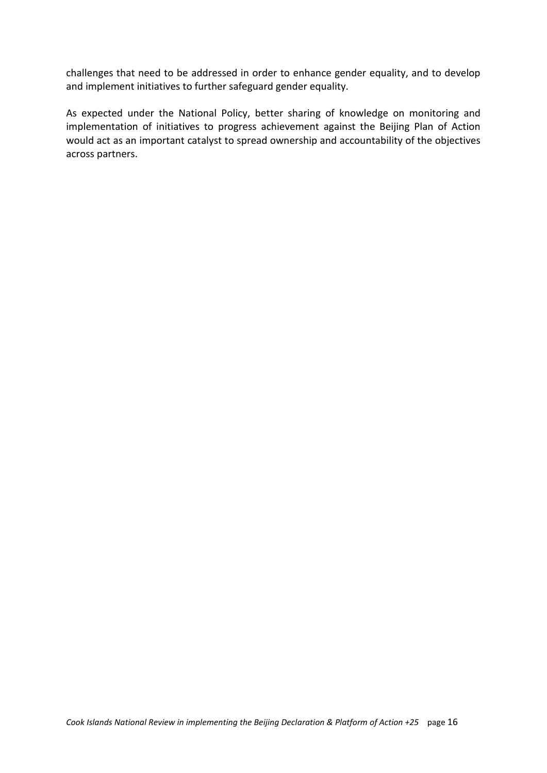challenges that need to be addressed in order to enhance gender equality, and to develop and implement initiatives to further safeguard gender equality.

As expected under the National Policy, better sharing of knowledge on monitoring and implementation of initiatives to progress achievement against the Beijing Plan of Action would act as an important catalyst to spread ownership and accountability of the objectives across partners.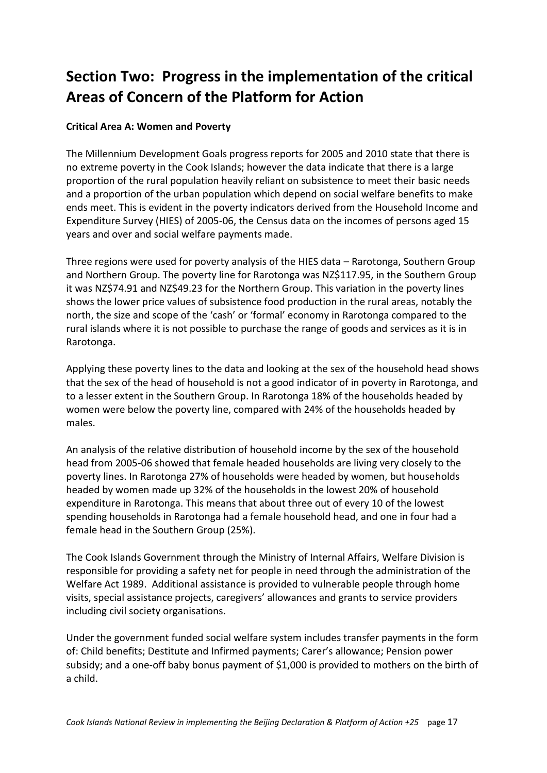# **Section Two: Progress in the implementation of the critical Areas of Concern of the Platform for Action**

# **Critical Area A: Women and Poverty**

The Millennium Development Goals progress reports for 2005 and 2010 state that there is no extreme poverty in the Cook Islands; however the data indicate that there is a large proportion of the rural population heavily reliant on subsistence to meet their basic needs and a proportion of the urban population which depend on social welfare benefits to make ends meet. This is evident in the poverty indicators derived from the Household Income and Expenditure Survey (HIES) of 2005-06, the Census data on the incomes of persons aged 15 years and over and social welfare payments made.

Three regions were used for poverty analysis of the HIES data – Rarotonga, Southern Group and Northern Group. The poverty line for Rarotonga was NZ\$117.95, in the Southern Group it was NZ\$74.91 and NZ\$49.23 for the Northern Group. This variation in the poverty lines shows the lower price values of subsistence food production in the rural areas, notably the north, the size and scope of the 'cash' or 'formal' economy in Rarotonga compared to the rural islands where it is not possible to purchase the range of goods and services as it is in Rarotonga.

Applying these poverty lines to the data and looking at the sex of the household head shows that the sex of the head of household is not a good indicator of in poverty in Rarotonga, and to a lesser extent in the Southern Group. In Rarotonga 18% of the households headed by women were below the poverty line, compared with 24% of the households headed by males.

An analysis of the relative distribution of household income by the sex of the household head from 2005-06 showed that female headed households are living very closely to the poverty lines. In Rarotonga 27% of households were headed by women, but households headed by women made up 32% of the households in the lowest 20% of household expenditure in Rarotonga. This means that about three out of every 10 of the lowest spending households in Rarotonga had a female household head, and one in four had a female head in the Southern Group (25%).

The Cook Islands Government through the Ministry of Internal Affairs, Welfare Division is responsible for providing a safety net for people in need through the administration of the Welfare Act 1989. Additional assistance is provided to vulnerable people through home visits, special assistance projects, caregivers' allowances and grants to service providers including civil society organisations.

Under the government funded social welfare system includes transfer payments in the form of: Child benefits; Destitute and Infirmed payments; Carer's allowance; Pension power subsidy; and a one-off baby bonus payment of \$1,000 is provided to mothers on the birth of a child.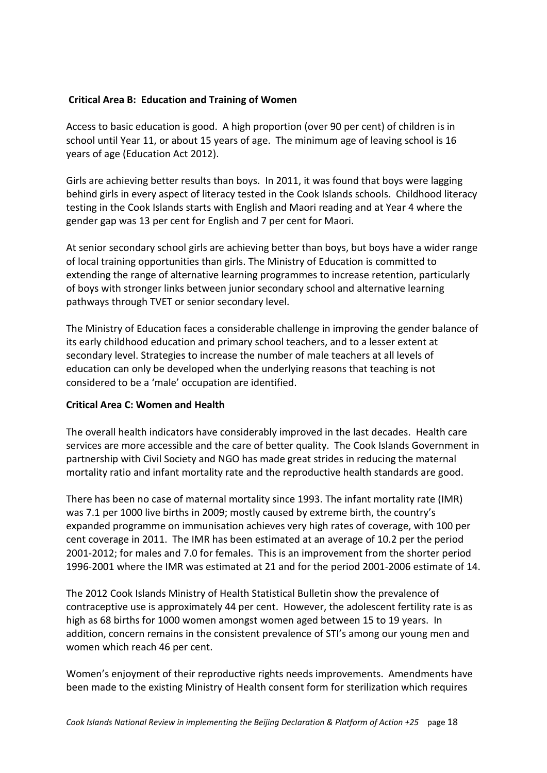#### **Critical Area B: Education and Training of Women**

Access to basic education is good. A high proportion (over 90 per cent) of children is in school until Year 11, or about 15 years of age. The minimum age of leaving school is 16 years of age (Education Act 2012).

Girls are achieving better results than boys. In 2011, it was found that boys were lagging behind girls in every aspect of literacy tested in the Cook Islands schools. Childhood literacy testing in the Cook Islands starts with English and Maori reading and at Year 4 where the gender gap was 13 per cent for English and 7 per cent for Maori.

At senior secondary school girls are achieving better than boys, but boys have a wider range of local training opportunities than girls. The Ministry of Education is committed to extending the range of alternative learning programmes to increase retention, particularly of boys with stronger links between junior secondary school and alternative learning pathways through TVET or senior secondary level.

The Ministry of Education faces a considerable challenge in improving the gender balance of its early childhood education and primary school teachers, and to a lesser extent at secondary level. Strategies to increase the number of male teachers at all levels of education can only be developed when the underlying reasons that teaching is not considered to be a 'male' occupation are identified.

#### **Critical Area C: Women and Health**

The overall health indicators have considerably improved in the last decades. Health care services are more accessible and the care of better quality. The Cook Islands Government in partnership with Civil Society and NGO has made great strides in reducing the maternal mortality ratio and infant mortality rate and the reproductive health standards are good.

There has been no case of maternal mortality since 1993. The infant mortality rate (IMR) was 7.1 per 1000 live births in 2009; mostly caused by extreme birth, the country's expanded programme on immunisation achieves very high rates of coverage, with 100 per cent coverage in 2011. The IMR has been estimated at an average of 10.2 per the period 2001-2012; for males and 7.0 for females. This is an improvement from the shorter period 1996-2001 where the IMR was estimated at 21 and for the period 2001-2006 estimate of 14.

The 2012 Cook Islands Ministry of Health Statistical Bulletin show the prevalence of contraceptive use is approximately 44 per cent. However, the adolescent fertility rate is as high as 68 births for 1000 women amongst women aged between 15 to 19 years. In addition, concern remains in the consistent prevalence of STI's among our young men and women which reach 46 per cent.

Women's enjoyment of their reproductive rights needs improvements. Amendments have been made to the existing Ministry of Health consent form for sterilization which requires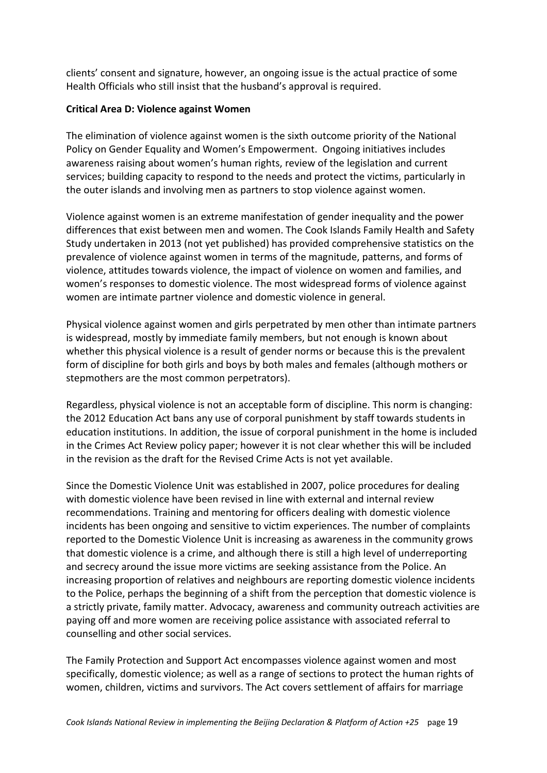clients' consent and signature, however, an ongoing issue is the actual practice of some Health Officials who still insist that the husband's approval is required.

#### **Critical Area D: Violence against Women**

The elimination of violence against women is the sixth outcome priority of the National Policy on Gender Equality and Women's Empowerment. Ongoing initiatives includes awareness raising about women's human rights, review of the legislation and current services; building capacity to respond to the needs and protect the victims, particularly in the outer islands and involving men as partners to stop violence against women.

Violence against women is an extreme manifestation of gender inequality and the power differences that exist between men and women. The Cook Islands Family Health and Safety Study undertaken in 2013 (not yet published) has provided comprehensive statistics on the prevalence of violence against women in terms of the magnitude, patterns, and forms of violence, attitudes towards violence, the impact of violence on women and families, and women's responses to domestic violence. The most widespread forms of violence against women are intimate partner violence and domestic violence in general.

Physical violence against women and girls perpetrated by men other than intimate partners is widespread, mostly by immediate family members, but not enough is known about whether this physical violence is a result of gender norms or because this is the prevalent form of discipline for both girls and boys by both males and females (although mothers or stepmothers are the most common perpetrators).

Regardless, physical violence is not an acceptable form of discipline. This norm is changing: the 2012 Education Act bans any use of corporal punishment by staff towards students in education institutions. In addition, the issue of corporal punishment in the home is included in the Crimes Act Review policy paper; however it is not clear whether this will be included in the revision as the draft for the Revised Crime Acts is not yet available.

Since the Domestic Violence Unit was established in 2007, police procedures for dealing with domestic violence have been revised in line with external and internal review recommendations. Training and mentoring for officers dealing with domestic violence incidents has been ongoing and sensitive to victim experiences. The number of complaints reported to the Domestic Violence Unit is increasing as awareness in the community grows that domestic violence is a crime, and although there is still a high level of underreporting and secrecy around the issue more victims are seeking assistance from the Police. An increasing proportion of relatives and neighbours are reporting domestic violence incidents to the Police, perhaps the beginning of a shift from the perception that domestic violence is a strictly private, family matter. Advocacy, awareness and community outreach activities are paying off and more women are receiving police assistance with associated referral to counselling and other social services.

The Family Protection and Support Act encompasses violence against women and most specifically, domestic violence; as well as a range of sections to protect the human rights of women, children, victims and survivors. The Act covers settlement of affairs for marriage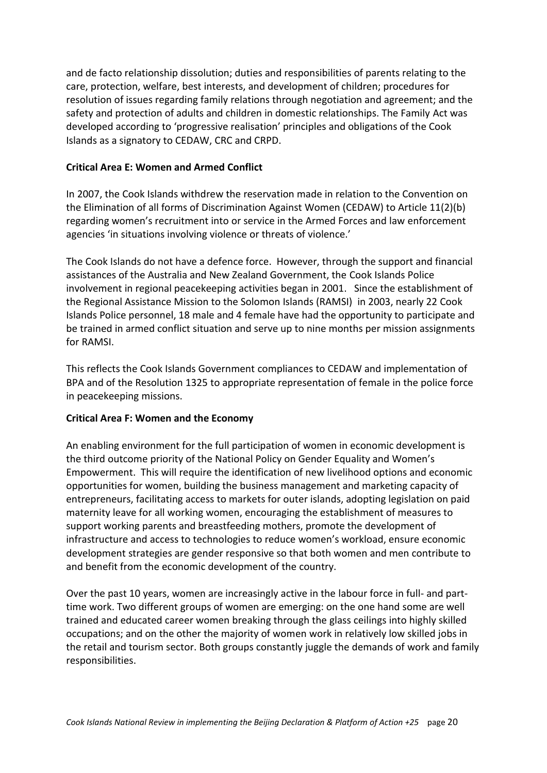and de facto relationship dissolution; duties and responsibilities of parents relating to the care, protection, welfare, best interests, and development of children; procedures for resolution of issues regarding family relations through negotiation and agreement; and the safety and protection of adults and children in domestic relationships. The Family Act was developed according to 'progressive realisation' principles and obligations of the Cook Islands as a signatory to CEDAW, CRC and CRPD.

#### **Critical Area E: Women and Armed Conflict**

In 2007, the Cook Islands withdrew the reservation made in relation to the Convention on the Elimination of all forms of Discrimination Against Women (CEDAW) to Article 11(2)(b) regarding women's recruitment into or service in the Armed Forces and law enforcement agencies 'in situations involving violence or threats of violence.'

The Cook Islands do not have a defence force. However, through the support and financial assistances of the Australia and New Zealand Government, the Cook Islands Police involvement in regional peacekeeping activities began in 2001. Since the establishment of the Regional Assistance Mission to the Solomon Islands (RAMSI) in 2003, nearly 22 Cook Islands Police personnel, 18 male and 4 female have had the opportunity to participate and be trained in armed conflict situation and serve up to nine months per mission assignments for RAMSI.

This reflects the Cook Islands Government compliances to CEDAW and implementation of BPA and of the Resolution 1325 to appropriate representation of female in the police force in peacekeeping missions.

#### **Critical Area F: Women and the Economy**

An enabling environment for the full participation of women in economic development is the third outcome priority of the National Policy on Gender Equality and Women's Empowerment. This will require the identification of new livelihood options and economic opportunities for women, building the business management and marketing capacity of entrepreneurs, facilitating access to markets for outer islands, adopting legislation on paid maternity leave for all working women, encouraging the establishment of measures to support working parents and breastfeeding mothers, promote the development of infrastructure and access to technologies to reduce women's workload, ensure economic development strategies are gender responsive so that both women and men contribute to and benefit from the economic development of the country.

Over the past 10 years, women are increasingly active in the labour force in full- and parttime work. Two different groups of women are emerging: on the one hand some are well trained and educated career women breaking through the glass ceilings into highly skilled occupations; and on the other the majority of women work in relatively low skilled jobs in the retail and tourism sector. Both groups constantly juggle the demands of work and family responsibilities.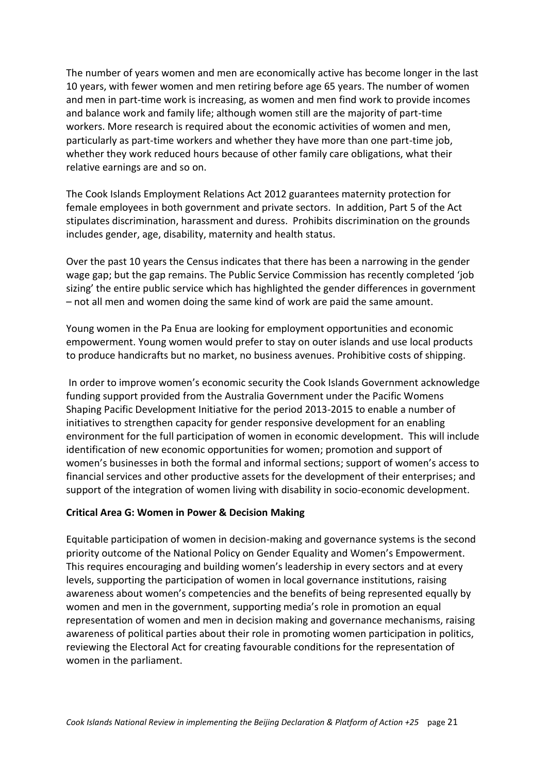The number of years women and men are economically active has become longer in the last 10 years, with fewer women and men retiring before age 65 years. The number of women and men in part-time work is increasing, as women and men find work to provide incomes and balance work and family life; although women still are the majority of part-time workers. More research is required about the economic activities of women and men, particularly as part-time workers and whether they have more than one part-time job, whether they work reduced hours because of other family care obligations, what their relative earnings are and so on.

The Cook Islands Employment Relations Act 2012 guarantees maternity protection for female employees in both government and private sectors. In addition, Part 5 of the Act stipulates discrimination, harassment and duress. Prohibits discrimination on the grounds includes gender, age, disability, maternity and health status.

Over the past 10 years the Census indicates that there has been a narrowing in the gender wage gap; but the gap remains. The Public Service Commission has recently completed 'job sizing' the entire public service which has highlighted the gender differences in government – not all men and women doing the same kind of work are paid the same amount.

Young women in the Pa Enua are looking for employment opportunities and economic empowerment. Young women would prefer to stay on outer islands and use local products to produce handicrafts but no market, no business avenues. Prohibitive costs of shipping.

In order to improve women's economic security the Cook Islands Government acknowledge funding support provided from the Australia Government under the Pacific Womens Shaping Pacific Development Initiative for the period 2013-2015 to enable a number of initiatives to strengthen capacity for gender responsive development for an enabling environment for the full participation of women in economic development. This will include identification of new economic opportunities for women; promotion and support of women's businesses in both the formal and informal sections; support of women's access to financial services and other productive assets for the development of their enterprises; and support of the integration of women living with disability in socio-economic development.

# **Critical Area G: Women in Power & Decision Making**

Equitable participation of women in decision-making and governance systems is the second priority outcome of the National Policy on Gender Equality and Women's Empowerment. This requires encouraging and building women's leadership in every sectors and at every levels, supporting the participation of women in local governance institutions, raising awareness about women's competencies and the benefits of being represented equally by women and men in the government, supporting media's role in promotion an equal representation of women and men in decision making and governance mechanisms, raising awareness of political parties about their role in promoting women participation in politics, reviewing the Electoral Act for creating favourable conditions for the representation of women in the parliament.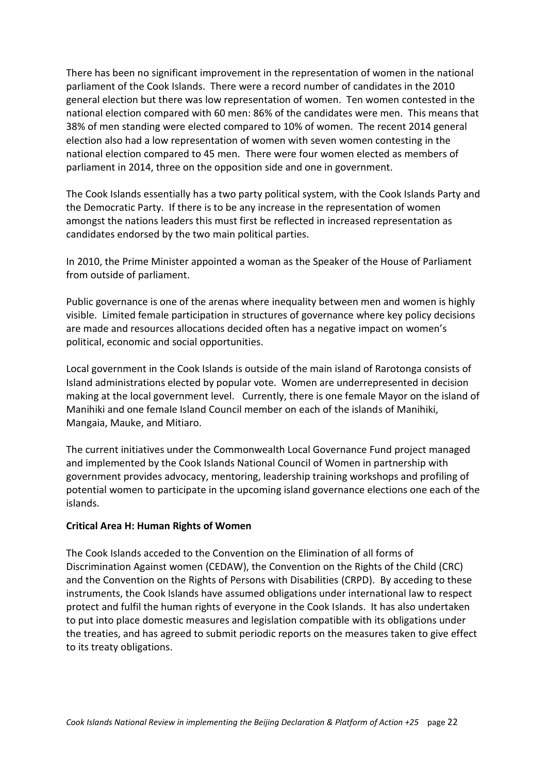There has been no significant improvement in the representation of women in the national parliament of the Cook Islands. There were a record number of candidates in the 2010 general election but there was low representation of women. Ten women contested in the national election compared with 60 men: 86% of the candidates were men. This means that 38% of men standing were elected compared to 10% of women. The recent 2014 general election also had a low representation of women with seven women contesting in the national election compared to 45 men. There were four women elected as members of parliament in 2014, three on the opposition side and one in government.

The Cook Islands essentially has a two party political system, with the Cook Islands Party and the Democratic Party. If there is to be any increase in the representation of women amongst the nations leaders this must first be reflected in increased representation as candidates endorsed by the two main political parties.

In 2010, the Prime Minister appointed a woman as the Speaker of the House of Parliament from outside of parliament.

Public governance is one of the arenas where inequality between men and women is highly visible. Limited female participation in structures of governance where key policy decisions are made and resources allocations decided often has a negative impact on women's political, economic and social opportunities.

Local government in the Cook Islands is outside of the main island of Rarotonga consists of Island administrations elected by popular vote. Women are underrepresented in decision making at the local government level. Currently, there is one female Mayor on the island of Manihiki and one female Island Council member on each of the islands of Manihiki, Mangaia, Mauke, and Mitiaro.

The current initiatives under the Commonwealth Local Governance Fund project managed and implemented by the Cook Islands National Council of Women in partnership with government provides advocacy, mentoring, leadership training workshops and profiling of potential women to participate in the upcoming island governance elections one each of the islands.

#### **Critical Area H: Human Rights of Women**

The Cook Islands acceded to the Convention on the Elimination of all forms of Discrimination Against women (CEDAW), the Convention on the Rights of the Child (CRC) and the Convention on the Rights of Persons with Disabilities (CRPD). By acceding to these instruments, the Cook Islands have assumed obligations under international law to respect protect and fulfil the human rights of everyone in the Cook Islands. It has also undertaken to put into place domestic measures and legislation compatible with its obligations under the treaties, and has agreed to submit periodic reports on the measures taken to give effect to its treaty obligations.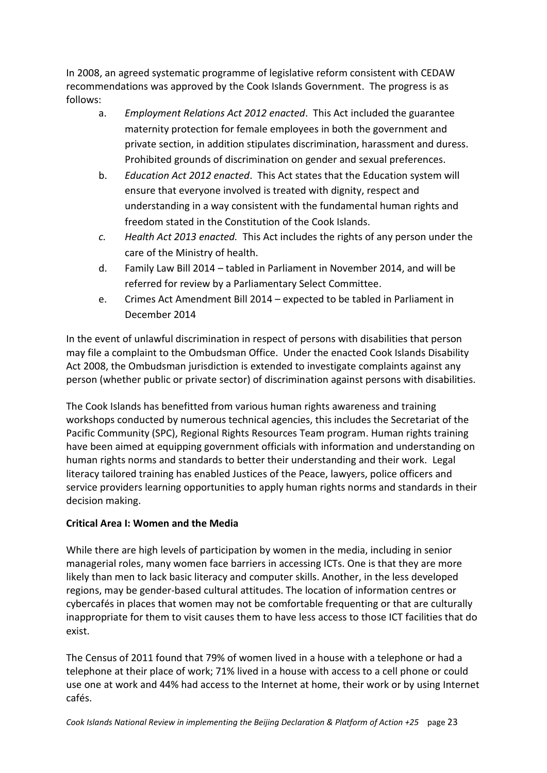In 2008, an agreed systematic programme of legislative reform consistent with CEDAW recommendations was approved by the Cook Islands Government. The progress is as follows:

- a. *Employment Relations Act 2012 enacted*. This Act included the guarantee maternity protection for female employees in both the government and private section, in addition stipulates discrimination, harassment and duress. Prohibited grounds of discrimination on gender and sexual preferences.
- b. *Education Act 2012 enacted*. This Act states that the Education system will ensure that everyone involved is treated with dignity, respect and understanding in a way consistent with the fundamental human rights and freedom stated in the Constitution of the Cook Islands.
- *c. Health Act 2013 enacted.* This Act includes the rights of any person under the care of the Ministry of health.
- d. Family Law Bill 2014 tabled in Parliament in November 2014, and will be referred for review by a Parliamentary Select Committee.
- e. Crimes Act Amendment Bill 2014 expected to be tabled in Parliament in December 2014

In the event of unlawful discrimination in respect of persons with disabilities that person may file a complaint to the Ombudsman Office. Under the enacted Cook Islands Disability Act 2008, the Ombudsman jurisdiction is extended to investigate complaints against any person (whether public or private sector) of discrimination against persons with disabilities.

The Cook Islands has benefitted from various human rights awareness and training workshops conducted by numerous technical agencies, this includes the Secretariat of the Pacific Community (SPC), Regional Rights Resources Team program. Human rights training have been aimed at equipping government officials with information and understanding on human rights norms and standards to better their understanding and their work. Legal literacy tailored training has enabled Justices of the Peace, lawyers, police officers and service providers learning opportunities to apply human rights norms and standards in their decision making.

# **Critical Area I: Women and the Media**

While there are high levels of participation by women in the media, including in senior managerial roles, many women face barriers in accessing ICTs. One is that they are more likely than men to lack basic literacy and computer skills. Another, in the less developed regions, may be gender-based cultural attitudes. The location of information centres or cybercafés in places that women may not be comfortable frequenting or that are culturally inappropriate for them to visit causes them to have less access to those ICT facilities that do exist.

The Census of 2011 found that 79% of women lived in a house with a telephone or had a telephone at their place of work; 71% lived in a house with access to a cell phone or could use one at work and 44% had access to the Internet at home, their work or by using Internet cafés.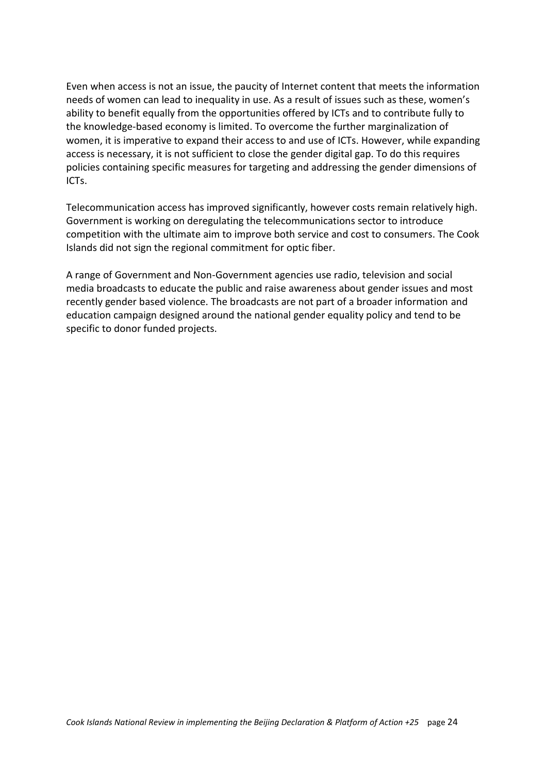Even when access is not an issue, the paucity of Internet content that meets the information needs of women can lead to inequality in use. As a result of issues such as these, women's ability to benefit equally from the opportunities offered by ICTs and to contribute fully to the knowledge-based economy is limited. To overcome the further marginalization of women, it is imperative to expand their access to and use of ICTs. However, while expanding access is necessary, it is not sufficient to close the gender digital gap. To do this requires policies containing specific measures for targeting and addressing the gender dimensions of ICTs.

Telecommunication access has improved significantly, however costs remain relatively high. Government is working on deregulating the telecommunications sector to introduce competition with the ultimate aim to improve both service and cost to consumers. The Cook Islands did not sign the regional commitment for optic fiber.

A range of Government and Non-Government agencies use radio, television and social media broadcasts to educate the public and raise awareness about gender issues and most recently gender based violence. The broadcasts are not part of a broader information and education campaign designed around the national gender equality policy and tend to be specific to donor funded projects.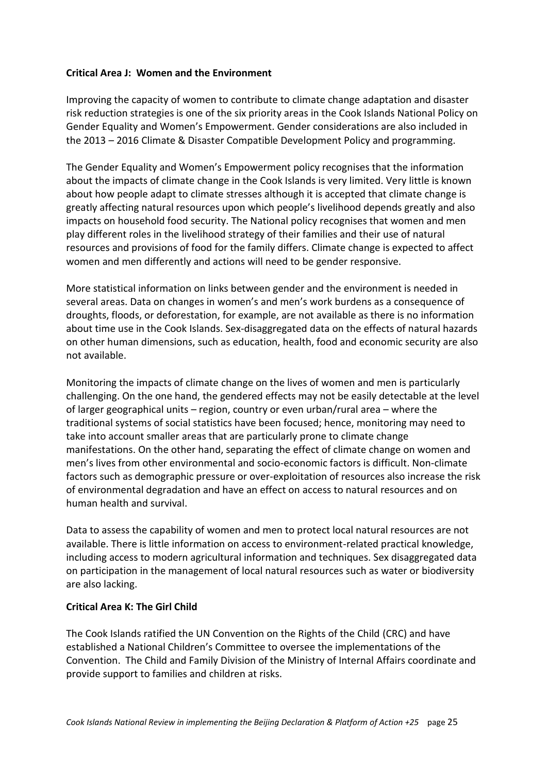#### **Critical Area J: Women and the Environment**

Improving the capacity of women to contribute to climate change adaptation and disaster risk reduction strategies is one of the six priority areas in the Cook Islands National Policy on Gender Equality and Women's Empowerment. Gender considerations are also included in the 2013 – 2016 Climate & Disaster Compatible Development Policy and programming.

The Gender Equality and Women's Empowerment policy recognises that the information about the impacts of climate change in the Cook Islands is very limited. Very little is known about how people adapt to climate stresses although it is accepted that climate change is greatly affecting natural resources upon which people's livelihood depends greatly and also impacts on household food security. The National policy recognises that women and men play different roles in the livelihood strategy of their families and their use of natural resources and provisions of food for the family differs. Climate change is expected to affect women and men differently and actions will need to be gender responsive.

More statistical information on links between gender and the environment is needed in several areas. Data on changes in women's and men's work burdens as a consequence of droughts, floods, or deforestation, for example, are not available as there is no information about time use in the Cook Islands. Sex-disaggregated data on the effects of natural hazards on other human dimensions, such as education, health, food and economic security are also not available.

Monitoring the impacts of climate change on the lives of women and men is particularly challenging. On the one hand, the gendered effects may not be easily detectable at the level of larger geographical units – region, country or even urban/rural area – where the traditional systems of social statistics have been focused; hence, monitoring may need to take into account smaller areas that are particularly prone to climate change manifestations. On the other hand, separating the effect of climate change on women and men's lives from other environmental and socio-economic factors is difficult. Non-climate factors such as demographic pressure or over-exploitation of resources also increase the risk of environmental degradation and have an effect on access to natural resources and on human health and survival.

Data to assess the capability of women and men to protect local natural resources are not available. There is little information on access to environment-related practical knowledge, including access to modern agricultural information and techniques. Sex disaggregated data on participation in the management of local natural resources such as water or biodiversity are also lacking.

#### **Critical Area K: The Girl Child**

The Cook Islands ratified the UN Convention on the Rights of the Child (CRC) and have established a National Children's Committee to oversee the implementations of the Convention. The Child and Family Division of the Ministry of Internal Affairs coordinate and provide support to families and children at risks.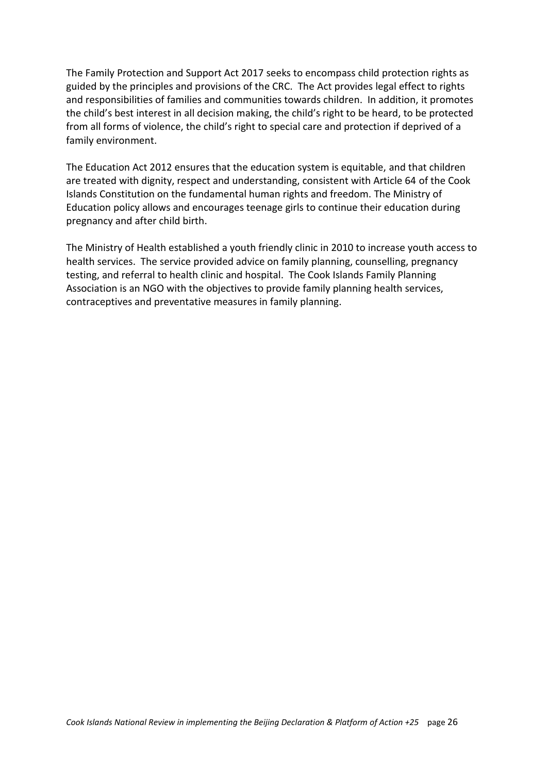The Family Protection and Support Act 2017 seeks to encompass child protection rights as guided by the principles and provisions of the CRC. The Act provides legal effect to rights and responsibilities of families and communities towards children. In addition, it promotes the child's best interest in all decision making, the child's right to be heard, to be protected from all forms of violence, the child's right to special care and protection if deprived of a family environment.

The Education Act 2012 ensures that the education system is equitable, and that children are treated with dignity, respect and understanding, consistent with Article 64 of the Cook Islands Constitution on the fundamental human rights and freedom. The Ministry of Education policy allows and encourages teenage girls to continue their education during pregnancy and after child birth.

The Ministry of Health established a youth friendly clinic in 2010 to increase youth access to health services. The service provided advice on family planning, counselling, pregnancy testing, and referral to health clinic and hospital. The Cook Islands Family Planning Association is an NGO with the objectives to provide family planning health services, contraceptives and preventative measures in family planning.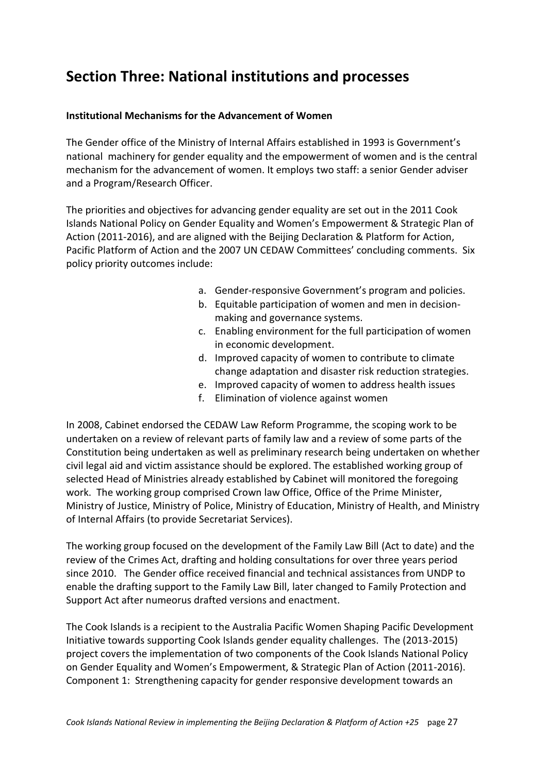# **Section Three: National institutions and processes**

#### **Institutional Mechanisms for the Advancement of Women**

The Gender office of the Ministry of Internal Affairs established in 1993 is Government's national machinery for gender equality and the empowerment of women and is the central mechanism for the advancement of women. It employs two staff: a senior Gender adviser and a Program/Research Officer.

The priorities and objectives for advancing gender equality are set out in the 2011 Cook Islands National Policy on Gender Equality and Women's Empowerment & Strategic Plan of Action (2011-2016), and are aligned with the Beijing Declaration & Platform for Action, Pacific Platform of Action and the 2007 UN CEDAW Committees' concluding comments. Six policy priority outcomes include:

- a. Gender-responsive Government's program and policies.
- b. Equitable participation of women and men in decisionmaking and governance systems.
- c. Enabling environment for the full participation of women in economic development.
- d. Improved capacity of women to contribute to climate change adaptation and disaster risk reduction strategies.
- e. Improved capacity of women to address health issues
- f. Elimination of violence against women

In 2008, Cabinet endorsed the CEDAW Law Reform Programme, the scoping work to be undertaken on a review of relevant parts of family law and a review of some parts of the Constitution being undertaken as well as preliminary research being undertaken on whether civil legal aid and victim assistance should be explored. The established working group of selected Head of Ministries already established by Cabinet will monitored the foregoing work. The working group comprised Crown law Office, Office of the Prime Minister, Ministry of Justice, Ministry of Police, Ministry of Education, Ministry of Health, and Ministry of Internal Affairs (to provide Secretariat Services).

The working group focused on the development of the Family Law Bill (Act to date) and the review of the Crimes Act, drafting and holding consultations for over three years period since 2010. The Gender office received financial and technical assistances from UNDP to enable the drafting support to the Family Law Bill, later changed to Family Protection and Support Act after numeorus drafted versions and enactment.

The Cook Islands is a recipient to the Australia Pacific Women Shaping Pacific Development Initiative towards supporting Cook Islands gender equality challenges. The (2013-2015) project covers the implementation of two components of the Cook Islands National Policy on Gender Equality and Women's Empowerment, & Strategic Plan of Action (2011-2016). Component 1: Strengthening capacity for gender responsive development towards an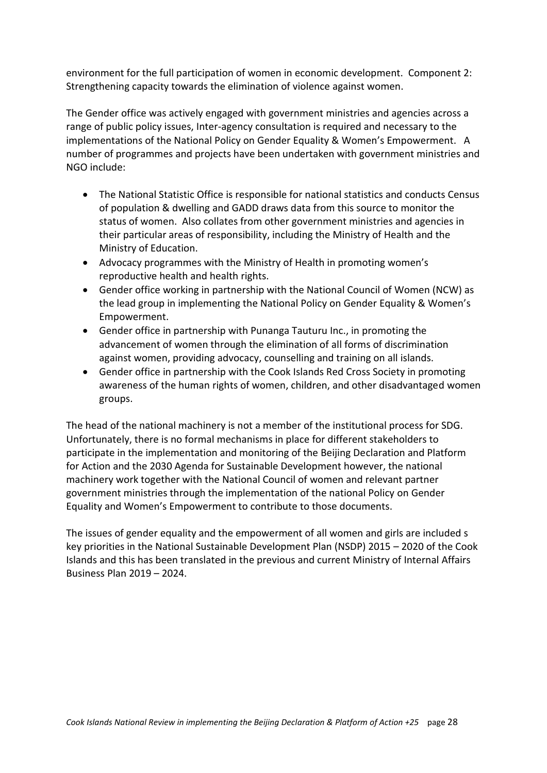environment for the full participation of women in economic development. Component 2: Strengthening capacity towards the elimination of violence against women.

The Gender office was actively engaged with government ministries and agencies across a range of public policy issues, Inter-agency consultation is required and necessary to the implementations of the National Policy on Gender Equality & Women's Empowerment. A number of programmes and projects have been undertaken with government ministries and NGO include:

- The National Statistic Office is responsible for national statistics and conducts Census of population & dwelling and GADD draws data from this source to monitor the status of women. Also collates from other government ministries and agencies in their particular areas of responsibility, including the Ministry of Health and the Ministry of Education.
- Advocacy programmes with the Ministry of Health in promoting women's reproductive health and health rights.
- Gender office working in partnership with the National Council of Women (NCW) as the lead group in implementing the National Policy on Gender Equality & Women's Empowerment.
- Gender office in partnership with Punanga Tauturu Inc., in promoting the advancement of women through the elimination of all forms of discrimination against women, providing advocacy, counselling and training on all islands.
- Gender office in partnership with the Cook Islands Red Cross Society in promoting awareness of the human rights of women, children, and other disadvantaged women groups.

The head of the national machinery is not a member of the institutional process for SDG. Unfortunately, there is no formal mechanisms in place for different stakeholders to participate in the implementation and monitoring of the Beijing Declaration and Platform for Action and the 2030 Agenda for Sustainable Development however, the national machinery work together with the National Council of women and relevant partner government ministries through the implementation of the national Policy on Gender Equality and Women's Empowerment to contribute to those documents.

The issues of gender equality and the empowerment of all women and girls are included s key priorities in the National Sustainable Development Plan (NSDP) 2015 – 2020 of the Cook Islands and this has been translated in the previous and current Ministry of Internal Affairs Business Plan 2019 – 2024.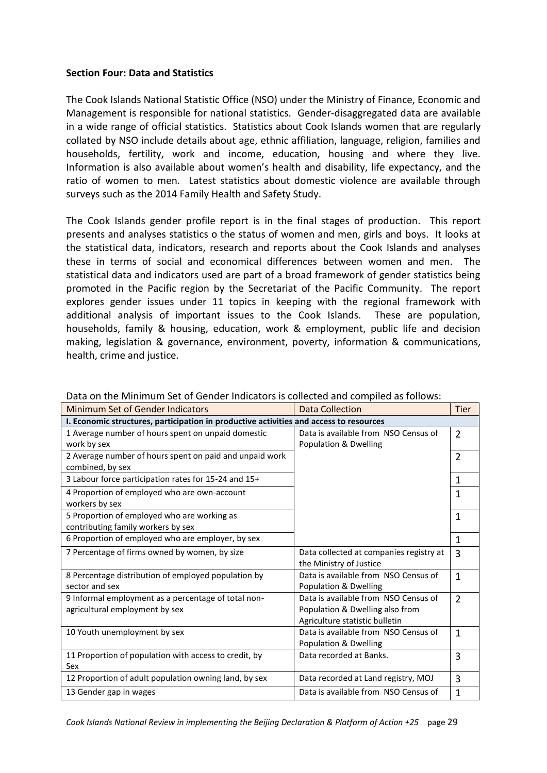#### **Section Four: Data and Statistics**

The Cook Islands National Statistic Office (NSO) under the Ministry of Finance, Economic and Management is responsible for national statistics. Gender-disaggregated data are available in a wide range of official statistics. Statistics about Cook Islands women that are regularly collated by NSO include details about age, ethnic affiliation, language, religion, families and households, fertility, work and income, education, housing and where they live. Information is also available about women's health and disability, life expectancy, and the ratio of women to men. Latest statistics about domestic violence are available through surveys such as the 2014 Family Health and Safety Study.

The Cook Islands gender profile report is in the final stages of production. This report presents and analyses statistics o the status of women and men, girls and boys. It looks at the statistical data, indicators, research and reports about the Cook Islands and analyses these in terms of social and economical differences between women and men. The statistical data and indicators used are part of a broad framework of gender statistics being promoted in the Pacific region by the Secretariat of the Pacific Community. The report explores gender issues under 11 topics in keeping with the regional framework with additional analysis of important issues to the Cook Islands. These are population, households, family & housing, education, work & employment, public life and decision making, legislation & governance, environment, poverty, information & communications, health, crime and justice.

| Minimum Set of Gender Indicators                                                       |                                         | <b>Tier</b>    |  |  |
|----------------------------------------------------------------------------------------|-----------------------------------------|----------------|--|--|
|                                                                                        | <b>Data Collection</b>                  |                |  |  |
| I. Economic structures, participation in productive activities and access to resources |                                         |                |  |  |
| 1 Average number of hours spent on unpaid domestic                                     | Data is available from NSO Census of    | $\overline{2}$ |  |  |
| work by sex                                                                            | Population & Dwelling                   |                |  |  |
| 2 Average number of hours spent on paid and unpaid work                                |                                         | $\overline{2}$ |  |  |
| combined, by sex                                                                       |                                         |                |  |  |
| 3 Labour force participation rates for 15-24 and 15+                                   |                                         | 1              |  |  |
| 4 Proportion of employed who are own-account                                           |                                         | 1              |  |  |
| workers by sex                                                                         |                                         |                |  |  |
| 5 Proportion of employed who are working as                                            |                                         | 1              |  |  |
| contributing family workers by sex                                                     |                                         |                |  |  |
| 6 Proportion of employed who are employer, by sex                                      |                                         | $\mathbf{1}$   |  |  |
| 7 Percentage of firms owned by women, by size                                          | Data collected at companies registry at | 3              |  |  |
|                                                                                        | the Ministry of Justice                 |                |  |  |
| 8 Percentage distribution of employed population by                                    | Data is available from NSO Census of    | $\mathbf{1}$   |  |  |
| sector and sex                                                                         | Population & Dwelling                   |                |  |  |
| 9 Informal employment as a percentage of total non-                                    | Data is available from NSO Census of    | $\overline{2}$ |  |  |
| agricultural employment by sex                                                         | Population & Dwelling also from         |                |  |  |
|                                                                                        | Agriculture statistic bulletin          |                |  |  |
| 10 Youth unemployment by sex                                                           | Data is available from NSO Census of    | $\mathbf{1}$   |  |  |
|                                                                                        | Population & Dwelling                   |                |  |  |
| 11 Proportion of population with access to credit, by                                  | Data recorded at Banks.                 | 3              |  |  |
| Sex                                                                                    |                                         |                |  |  |
| 12 Proportion of adult population owning land, by sex                                  | Data recorded at Land registry, MOJ     | 3              |  |  |
| 13 Gender gap in wages                                                                 | Data is available from NSO Census of    | 1              |  |  |

Data on the Minimum Set of Gender Indicators is collected and compiled as follows: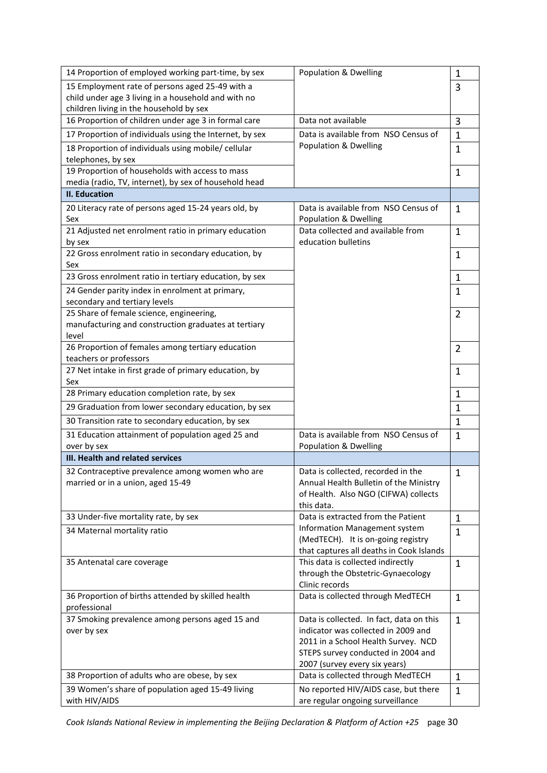| 14 Proportion of employed working part-time, by sex                              | <b>Population &amp; Dwelling</b>                                         | 1              |
|----------------------------------------------------------------------------------|--------------------------------------------------------------------------|----------------|
| 15 Employment rate of persons aged 25-49 with a                                  |                                                                          | 3              |
| child under age 3 living in a household and with no                              |                                                                          |                |
| children living in the household by sex                                          |                                                                          |                |
| 16 Proportion of children under age 3 in formal care                             | Data not available                                                       | 3              |
| 17 Proportion of individuals using the Internet, by sex                          | Data is available from NSO Census of                                     | 1              |
| 18 Proportion of individuals using mobile/ cellular<br>telephones, by sex        | Population & Dwelling                                                    | 1              |
| 19 Proportion of households with access to mass                                  |                                                                          | 1              |
| media (radio, TV, internet), by sex of household head                            |                                                                          |                |
| <b>II. Education</b>                                                             |                                                                          |                |
| 20 Literacy rate of persons aged 15-24 years old, by                             | Data is available from NSO Census of                                     | $\mathbf{1}$   |
| Sex<br>21 Adjusted net enrolment ratio in primary education                      | Population & Dwelling<br>Data collected and available from               |                |
| by sex                                                                           | education bulletins                                                      | 1              |
| 22 Gross enrolment ratio in secondary education, by                              |                                                                          | 1              |
| Sex                                                                              |                                                                          |                |
| 23 Gross enrolment ratio in tertiary education, by sex                           |                                                                          | 1              |
| 24 Gender parity index in enrolment at primary,<br>secondary and tertiary levels |                                                                          | 1              |
| 25 Share of female science, engineering,                                         |                                                                          | 2              |
| manufacturing and construction graduates at tertiary                             |                                                                          |                |
| level                                                                            |                                                                          |                |
| 26 Proportion of females among tertiary education                                |                                                                          | $\overline{2}$ |
| teachers or professors                                                           |                                                                          |                |
| 27 Net intake in first grade of primary education, by<br>Sex                     |                                                                          | 1              |
| 28 Primary education completion rate, by sex                                     |                                                                          | 1              |
| 29 Graduation from lower secondary education, by sex                             |                                                                          | 1              |
| 30 Transition rate to secondary education, by sex                                |                                                                          | 1              |
| 31 Education attainment of population aged 25 and                                | Data is available from NSO Census of                                     | 1              |
| over by sex                                                                      | Population & Dwelling                                                    |                |
| III. Health and related services                                                 |                                                                          |                |
| 32 Contraceptive prevalence among women who are                                  | Data is collected, recorded in the                                       | 1              |
| married or in a union, aged 15-49                                                | Annual Health Bulletin of the Ministry                                   |                |
|                                                                                  | of Health. Also NGO (CIFWA) collects                                     |                |
| 33 Under-five mortality rate, by sex                                             | this data.<br>Data is extracted from the Patient                         | 1              |
|                                                                                  | Information Management system                                            |                |
| 34 Maternal mortality ratio                                                      | (MedTECH). It is on-going registry                                       | $\mathbf 1$    |
|                                                                                  | that captures all deaths in Cook Islands                                 |                |
| 35 Antenatal care coverage                                                       | This data is collected indirectly                                        | $\mathbf 1$    |
|                                                                                  | through the Obstetric-Gynaecology<br>Clinic records                      |                |
| 36 Proportion of births attended by skilled health                               | Data is collected through MedTECH                                        | $\mathbf{1}$   |
| professional                                                                     |                                                                          |                |
| 37 Smoking prevalence among persons aged 15 and                                  | Data is collected. In fact, data on this                                 | $\mathbf{1}$   |
| over by sex                                                                      | indicator was collected in 2009 and                                      |                |
|                                                                                  | 2011 in a School Health Survey. NCD                                      |                |
|                                                                                  | STEPS survey conducted in 2004 and                                       |                |
|                                                                                  | 2007 (survey every six years)                                            |                |
| 38 Proportion of adults who are obese, by sex                                    | Data is collected through MedTECH                                        | 1              |
| 39 Women's share of population aged 15-49 living<br>with HIV/AIDS                | No reported HIV/AIDS case, but there<br>are regular ongoing surveillance | 1              |
|                                                                                  |                                                                          |                |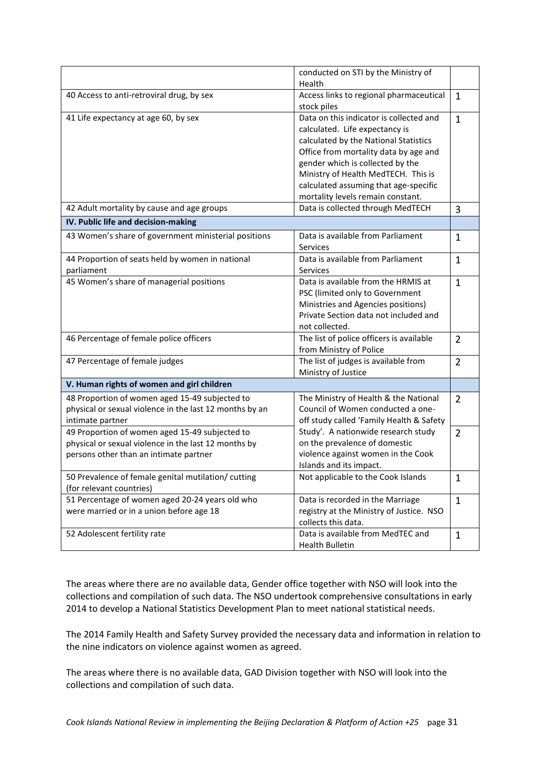|                                                                                                                                                  | conducted on STI by the Ministry of<br>Health                                                                                                                                                                                                                                                                        |                |
|--------------------------------------------------------------------------------------------------------------------------------------------------|----------------------------------------------------------------------------------------------------------------------------------------------------------------------------------------------------------------------------------------------------------------------------------------------------------------------|----------------|
| 40 Access to anti-retroviral drug, by sex                                                                                                        | Access links to regional pharmaceutical<br>stock piles                                                                                                                                                                                                                                                               | $\mathbf 1$    |
| 41 Life expectancy at age 60, by sex                                                                                                             | Data on this indicator is collected and<br>calculated. Life expectancy is<br>calculated by the National Statistics<br>Office from mortality data by age and<br>gender which is collected by the<br>Ministry of Health MedTECH. This is<br>calculated assuming that age-specific<br>mortality levels remain constant. | $\mathbf{1}$   |
| 42 Adult mortality by cause and age groups                                                                                                       | Data is collected through MedTECH                                                                                                                                                                                                                                                                                    | 3              |
| IV. Public life and decision-making                                                                                                              |                                                                                                                                                                                                                                                                                                                      |                |
| 43 Women's share of government ministerial positions                                                                                             | Data is available from Parliament<br>Services                                                                                                                                                                                                                                                                        | $\mathbf{1}$   |
| 44 Proportion of seats held by women in national<br>parliament                                                                                   | Data is available from Parliament<br>Services                                                                                                                                                                                                                                                                        | $\mathbf{1}$   |
| 45 Women's share of managerial positions                                                                                                         | Data is available from the HRMIS at<br>PSC (limited only to Government<br>Ministries and Agencies positions)<br>Private Section data not included and<br>not collected.                                                                                                                                              | 1              |
| 46 Percentage of female police officers                                                                                                          | The list of police officers is available<br>from Ministry of Police                                                                                                                                                                                                                                                  | $\overline{2}$ |
| 47 Percentage of female judges                                                                                                                   | The list of judges is available from<br>Ministry of Justice                                                                                                                                                                                                                                                          | $\overline{2}$ |
| V. Human rights of women and girl children                                                                                                       |                                                                                                                                                                                                                                                                                                                      |                |
| 48 Proportion of women aged 15-49 subjected to<br>physical or sexual violence in the last 12 months by an<br>intimate partner                    | The Ministry of Health & the National<br>Council of Women conducted a one-<br>off study called 'Family Health & Safety                                                                                                                                                                                               | $\overline{2}$ |
| 49 Proportion of women aged 15-49 subjected to<br>physical or sexual violence in the last 12 months by<br>persons other than an intimate partner | Study'. A nationwide research study<br>on the prevalence of domestic<br>violence against women in the Cook<br>Islands and its impact.                                                                                                                                                                                | $\overline{2}$ |
| 50 Prevalence of female genital mutilation/ cutting<br>(for relevant countries)                                                                  | Not applicable to the Cook Islands                                                                                                                                                                                                                                                                                   | $\mathbf 1$    |
| 51 Percentage of women aged 20-24 years old who<br>were married or in a union before age 18                                                      | Data is recorded in the Marriage<br>registry at the Ministry of Justice. NSO<br>collects this data.                                                                                                                                                                                                                  | $\mathbf{1}$   |
| 52 Adolescent fertility rate                                                                                                                     | Data is available from MedTEC and<br>Health Bulletin                                                                                                                                                                                                                                                                 | $\mathbf 1$    |

The areas where there are no available data, Gender office together with NSO will look into the collections and compilation of such data. The NSO undertook comprehensive consultations in early 2014 to develop a National Statistics Development Plan to meet national statistical needs.

The 2014 Family Health and Safety Survey provided the necessary data and information in relation to the nine indicators on violence against women as agreed.

The areas where there is no available data, GAD Division together with NSO will look into the collections and compilation of such data.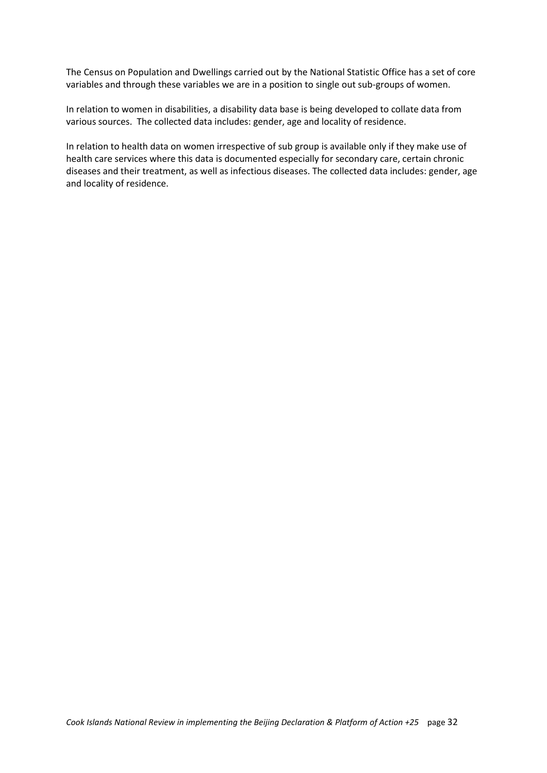The Census on Population and Dwellings carried out by the National Statistic Office has a set of core variables and through these variables we are in a position to single out sub-groups of women.

In relation to women in disabilities, a disability data base is being developed to collate data from various sources. The collected data includes: gender, age and locality of residence.

In relation to health data on women irrespective of sub group is available only if they make use of health care services where this data is documented especially for secondary care, certain chronic diseases and their treatment, as well as infectious diseases. The collected data includes: gender, age and locality of residence.